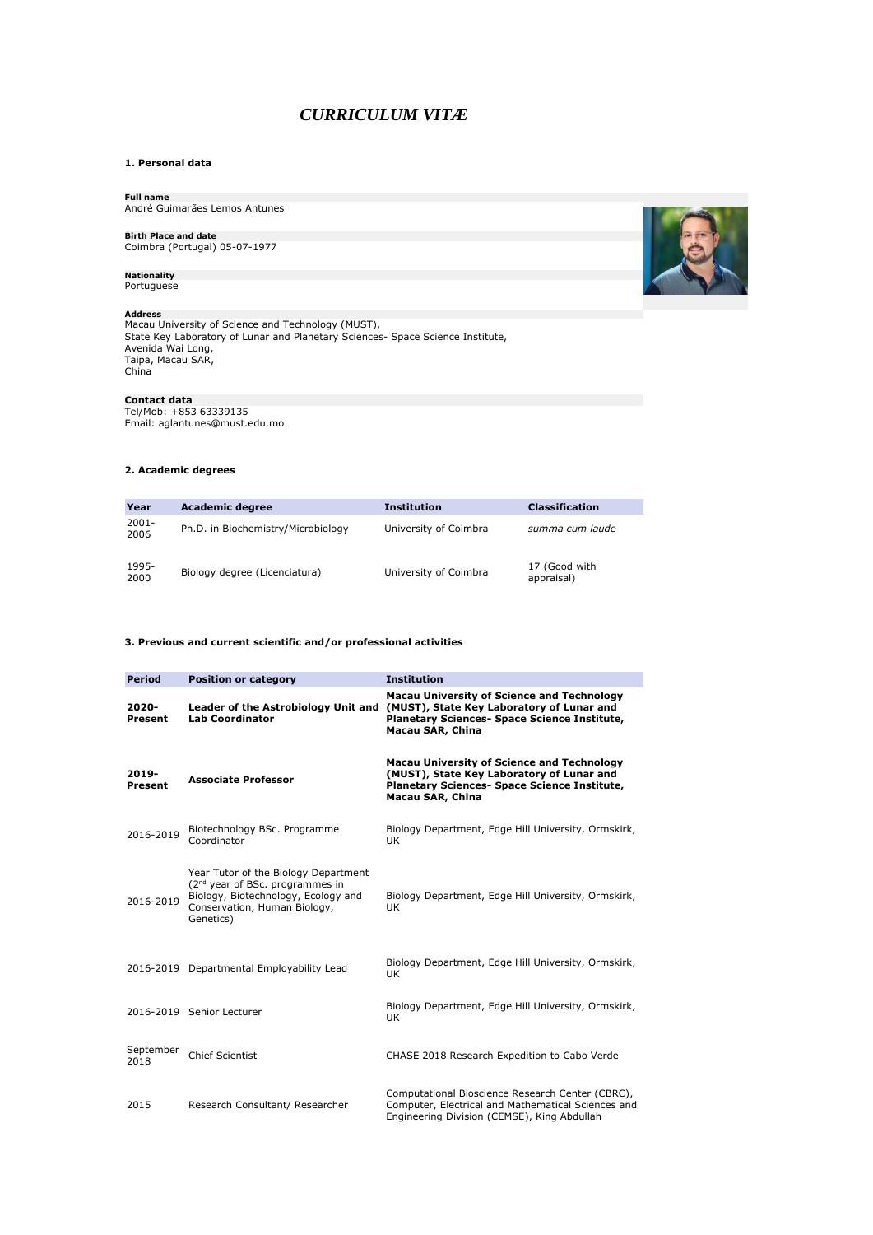# *CURRICULUM VITÆ*

## **1. Personal data**

**Full name** André Guimarães Lemos Antunes

# **Birth Place and date** Coimbra (Portugal) 05-07-1977

**Nationality** Portuguese

**Address**<br>Macau University of Science and Technology (MUST),<br>State Key Laboratory of Lunar and Planetary Sciences- Space Science Institute,<br>Avenida Wai Long,<br>Taipa, Macau SAR,<br>China

**Contact data**<br>Tel/Mob: +853 63339135<br>Email: aglantunes@must.edu.mo

## **2. Academic degrees**

| Year          | <b>Academic degree</b>             | <b>Institution</b>    | <b>Classification</b>       |
|---------------|------------------------------------|-----------------------|-----------------------------|
| 2001-<br>2006 | Ph.D. in Biochemistry/Microbiology | University of Coimbra | summa cum laude             |
| 1995-<br>2000 | Biology degree (Licenciatura)      | University of Coimbra | 17 (Good with<br>appraisal) |

## **3. Previous and current scientific and/or professional activities**

| <b>Period</b>     | <b>Position or category</b>                                                                                                                                             | <b>Institution</b>                                                                                                                                                 |
|-------------------|-------------------------------------------------------------------------------------------------------------------------------------------------------------------------|--------------------------------------------------------------------------------------------------------------------------------------------------------------------|
| 2020-<br>Present  | Leader of the Astrobiology Unit and<br><b>Lab Coordinator</b>                                                                                                           | <b>Macau University of Science and Technology</b><br>(MUST), State Key Laboratory of Lunar and<br>Planetary Sciences- Space Science Institute,<br>Macau SAR, China |
| 2019-<br>Present  | <b>Associate Professor</b>                                                                                                                                              | <b>Macau University of Science and Technology</b><br>(MUST), State Key Laboratory of Lunar and<br>Planetary Sciences- Space Science Institute,<br>Macau SAR, China |
| 2016-2019         | Biotechnology BSc. Programme<br>Coordinator                                                                                                                             | Biology Department, Edge Hill University, Ormskirk,<br>UK                                                                                                          |
| 2016-2019         | Year Tutor of the Biology Department<br>(2 <sup>nd</sup> year of BSc. programmes in<br>Biology, Biotechnology, Ecology and<br>Conservation, Human Biology,<br>Genetics) | Biology Department, Edge Hill University, Ormskirk,<br>UK                                                                                                          |
|                   | 2016-2019 Departmental Employability Lead                                                                                                                               | Biology Department, Edge Hill University, Ormskirk,<br><b>UK</b>                                                                                                   |
|                   | 2016-2019 Senior Lecturer                                                                                                                                               | Biology Department, Edge Hill University, Ormskirk,<br><b>UK</b>                                                                                                   |
| September<br>2018 | <b>Chief Scientist</b>                                                                                                                                                  | CHASE 2018 Research Expedition to Cabo Verde                                                                                                                       |
| 2015              | Research Consultant/ Researcher                                                                                                                                         | Computational Bioscience Research Center (CBRC),<br>Computer, Electrical and Mathematical Sciences and<br>Engineering Division (CEMSE), King Abdullah              |

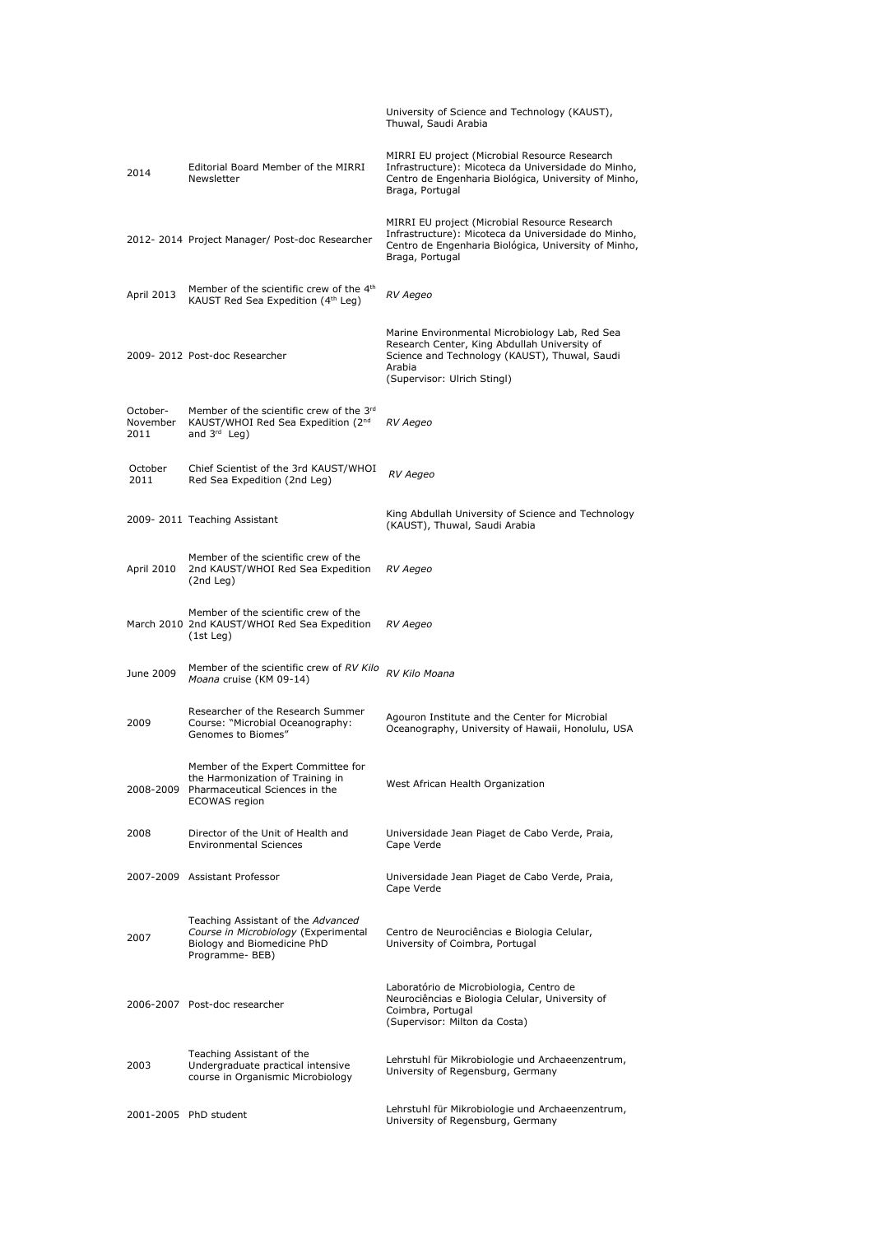|                              |                                                                                                                                     | University of Science and Technology (KAUST),<br>Thuwal, Saudi Arabia                                                                                                                    |
|------------------------------|-------------------------------------------------------------------------------------------------------------------------------------|------------------------------------------------------------------------------------------------------------------------------------------------------------------------------------------|
| 2014                         | Editorial Board Member of the MIRRI<br>Newsletter                                                                                   | MIRRI EU project (Microbial Resource Research<br>Infrastructure): Micoteca da Universidade do Minho,<br>Centro de Engenharia Biológica, University of Minho,<br>Braga, Portugal          |
|                              | 2012-2014 Project Manager/ Post-doc Researcher                                                                                      | MIRRI EU project (Microbial Resource Research<br>Infrastructure): Micoteca da Universidade do Minho,<br>Centro de Engenharia Biológica, University of Minho,<br>Braga, Portugal          |
| April 2013                   | Member of the scientific crew of the 4 <sup>th</sup><br>KAUST Red Sea Expedition (4 <sup>th</sup> Leg)                              | RV Aegeo                                                                                                                                                                                 |
|                              | 2009-2012 Post-doc Researcher                                                                                                       | Marine Environmental Microbiology Lab, Red Sea<br>Research Center, King Abdullah University of<br>Science and Technology (KAUST), Thuwal, Saudi<br>Arabia<br>(Supervisor: Ulrich Stingl) |
| October-<br>November<br>2011 | Member of the scientific crew of the 3rd<br>KAUST/WHOI Red Sea Expedition (2 <sup>nd</sup><br>and 3rd Leg)                          | RV Aegeo                                                                                                                                                                                 |
| October<br>2011              | Chief Scientist of the 3rd KAUST/WHOI<br>Red Sea Expedition (2nd Leg)                                                               | RV Aegeo                                                                                                                                                                                 |
|                              | 2009-2011 Teaching Assistant                                                                                                        | King Abdullah University of Science and Technology<br>(KAUST), Thuwal, Saudi Arabia                                                                                                      |
| April 2010                   | Member of the scientific crew of the<br>2nd KAUST/WHOI Red Sea Expedition<br>(2nd Leg)                                              | RV Aegeo                                                                                                                                                                                 |
|                              | Member of the scientific crew of the<br>March 2010 2nd KAUST/WHOI Red Sea Expedition<br>(1st Leg)                                   | RV Aegeo                                                                                                                                                                                 |
| June 2009                    | Member of the scientific crew of RV Kilo<br>Moana cruise (KM 09-14)                                                                 | RV Kilo Moana                                                                                                                                                                            |
| 2009                         | Researcher of the Research Summer<br>Course: "Microbial Oceanography:<br>Genomes to Biomes"                                         | Agouron Institute and the Center for Microbial<br>Oceanography, University of Hawaii, Honolulu, USA                                                                                      |
|                              | Member of the Expert Committee for<br>the Harmonization of Training in<br>2008-2009 Pharmaceutical Sciences in the<br>ECOWAS region | West African Health Organization                                                                                                                                                         |
| 2008                         | Director of the Unit of Health and<br><b>Environmental Sciences</b>                                                                 | Universidade Jean Piaget de Cabo Verde, Praia,<br>Cape Verde                                                                                                                             |
|                              | 2007-2009 Assistant Professor                                                                                                       | Universidade Jean Piaget de Cabo Verde, Praia,<br>Cape Verde                                                                                                                             |
| 2007                         | Teaching Assistant of the Advanced<br>Course in Microbiology (Experimental<br>Biology and Biomedicine PhD<br>Programme- BEB)        | Centro de Neurociências e Biologia Celular,<br>University of Coimbra, Portugal                                                                                                           |
|                              | 2006-2007 Post-doc researcher                                                                                                       | Laboratório de Microbiologia, Centro de<br>Neurociências e Biologia Celular, University of<br>Coimbra, Portugal<br>(Supervisor: Milton da Costa)                                         |
| 2003                         | Teaching Assistant of the<br>Undergraduate practical intensive<br>course in Organismic Microbiology                                 | Lehrstuhl für Mikrobiologie und Archaeenzentrum,<br>University of Regensburg, Germany                                                                                                    |
|                              | 2001-2005 PhD student                                                                                                               | Lehrstuhl für Mikrobiologie und Archaeenzentrum,<br>University of Regensburg, Germany                                                                                                    |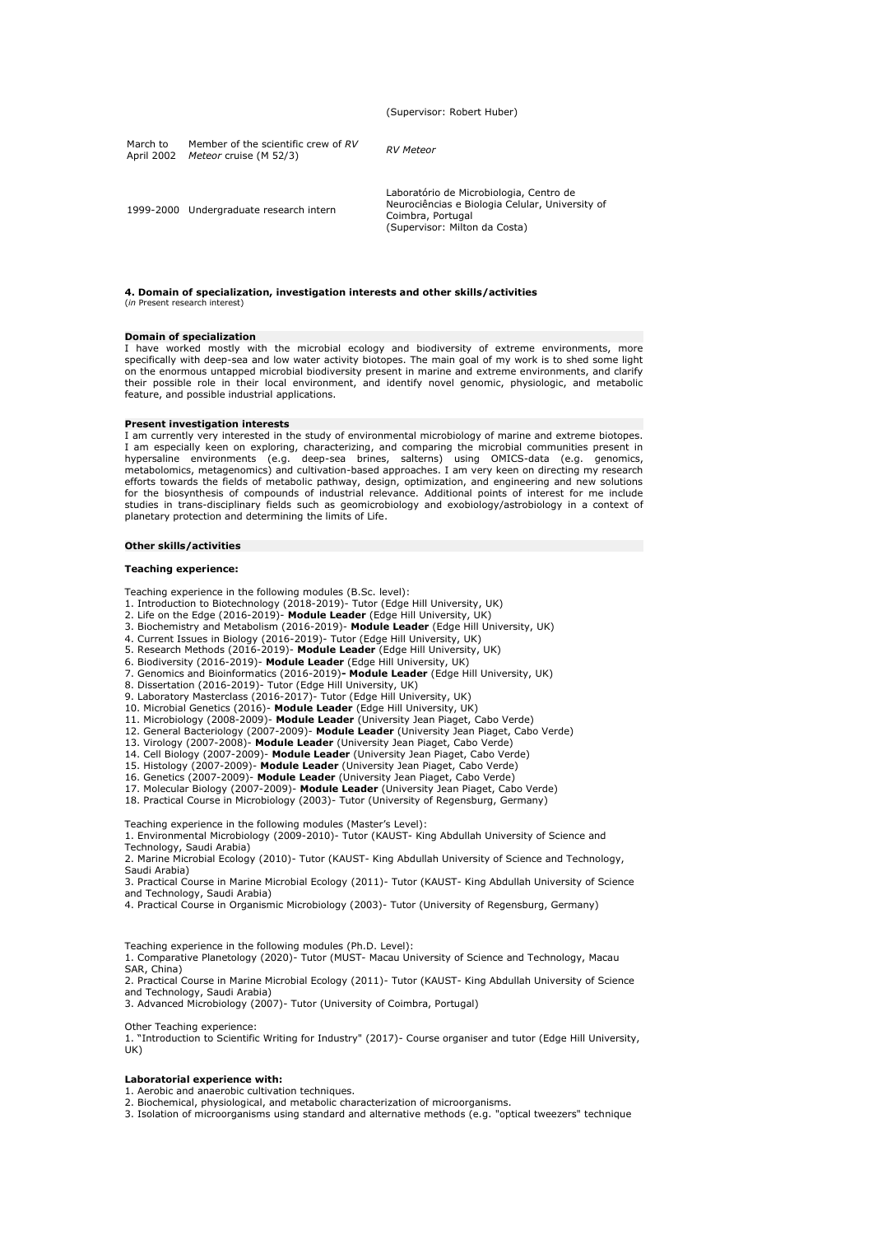(Supervisor: Robert Huber)

| March to<br>April 2002 | Member of the scientific crew of RV<br>Meteor cruise (M 52/3) | <b>RV</b> Meteor                                                                                                                                 |
|------------------------|---------------------------------------------------------------|--------------------------------------------------------------------------------------------------------------------------------------------------|
|                        | 1999-2000 Undergraduate research intern                       | Laboratório de Microbiologia, Centro de<br>Neurociências e Biologia Celular, University of<br>Coimbra, Portugal<br>(Supervisor: Milton da Costa) |

#### **4. Domain of specialization, investigation interests and other skills/activities** (*in* Present research interest)

#### **Domain of specialization**

I have worked mostly with the microbial ecology and biodiversity of extreme environments, more specifically with deep-sea and low water activity biotopes. The main goal of my work is to shed some light on the enormous untapped microbial biodiversity present in marine and extreme environments, and clarify their possible role in their local environment, and identify novel genomic, physiologic, and metabolic feature, and possible industrial applications.

### **Present investigation interests**

I am currently very interested in the study of environmental microbiology of marine and extreme biotopes. I am especially keen on exploring, characterizing, and comparing the microbial communities present in<br>hypersaline environments (e.g. deep-sea brines, salterns) using OMICS-data (e.g. genomics,<br>metabolomics, metagenomics) a efforts towards the fields of metabolic pathway, design, optimization, and engineering and new solutions for the biosynthesis of compounds of industrial relevance. Additional points of interest for me include studies in trans-disciplinary fields such as geomicrobiology and exobiology/astrobiology in a context of planetary protection and determining the limits of Life.

#### **Other skills/activities**

#### **Teaching experience:**

Teaching experience in the following modules (B.Sc. level):

- 
- 
- 1. Introduction to Biotechnology (2018-2019)- Tutor (Edge Hill University, UK)<br>2. Life on the Edge (2016-2019)- **Module Leader** (Edge Hill University, UK)<br>3. Biochemistry and Metabolism (2016-2019)- **Module Leader** (Edge H
- 4. Current Issues in Biology (2016-2019)- Tutor (Edge Hill University, UK) 5. Research Methods (2016-2019)- **Module Leader** (Edge Hill University, UK)
- 
- 6. Biodiversity (2016-2019)- **Module Leader** (Edge Hill University, UK)
- 7. Genomics and Bioinformatics (2016-2019) **Module Leader** (Edge Hill University, UK)<br>8. Dissertation (2016-2019)- Tutor (Edge Hill University, UK)<br>9. Laboratory Masterclass (2016-2017)- Tutor (Edge Hill University, UK)
- 
- 
- 10. Microbial Genetics (2016)- **Module Leader** (Edge Hill University, UK)
- 
- 11. Microbiology (2008-2009)- **Module Leader** (University Jean Piaget, Cabo Verde) 12. General Bacteriology (2007-2009)- **Module Leader** (University Jean Piaget, Cabo Verde)
- 13. Virology (2007-2008)- **Module Leader** (University Jean Piaget, Cabo Verde) 14. Cell Biology (2007-2009)- **Module Leader** (University Jean Piaget, Cabo Verde)
- 
- 15. Histology (2007-2009)- **Module Leader** (University Jean Piaget, Cabo Verde) 16. Genetics (2007-2009)- **Module Leader** (University Jean Piaget, Cabo Verde)
- 
- 17. Molecular Biology (2007-2009)- **Module Leader** (University Jean Piaget, Cabo Verde) 18. Practical Course in Microbiology (2003)- Tutor (University of Regensburg, Germany)

Teaching experience in the following modules (Master's Level): 1. Environmental Microbiology (2009-2010)- Tutor (KAUST- King Abdullah University of Science and Technology, Saudi Arabia)

2. Marine Microbial Ecology (2010)- Tutor (KAUST- King Abdullah University of Science and Technology, Saudi Arabia)

3. Practical Course in Marine Microbial Ecology (2011)- Tutor (KAUST- King Abdullah University of Science and Technology, Saudi Arabia)

4. Practical Course in Organismic Microbiology (2003)- Tutor (University of Regensburg, Germany)

Teaching experience in the following modules (Ph.D. Level):

1. Comparative Planetology (2020)- Tutor (MUST- Macau University of Science and Technology, Macau SAR, China)

2. Practical Course in Marine Microbial Ecology (2011)- Tutor (KAUST- King Abdullah University of Science and Technology, Saudi Arabia)

3. Advanced Microbiology (2007)- Tutor (University of Coimbra, Portugal)

#### Other Teaching experience:

1. "Introduction to Scientific Writing for Industry" (2017)- Course organiser and tutor (Edge Hill University, UK)

#### **Laboratorial experience with:**

1. Aerobic and anaerobic cultivation techniques.

2. Biochemical, physiological, and metabolic characterization of microorganisms.

3. Isolation of microorganisms using standard and alternative methods (e.g. "optical tweezers" technique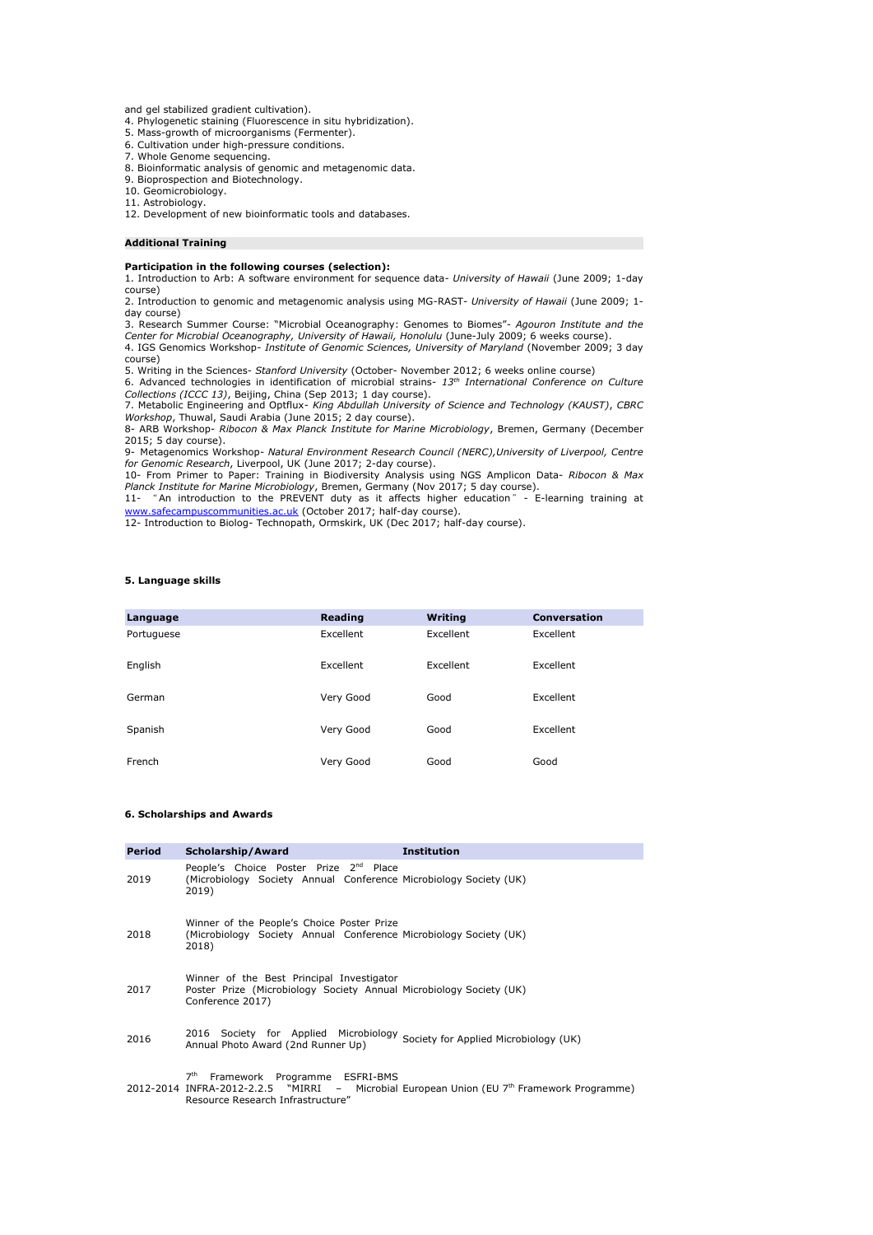and gel stabilized gradient cultivation).

4. Phylogenetic staining (Fluorescence in situ hybridization). 5. Mass-growth of microorganisms (Fermenter).

6. Cultivation under high-pressure conditions.

7. Whole Genome sequencing.

8. Bioinformatic analysis of genomic and metagenomic data.

9. Bioprospection and Biotechnology.

10. Geomicrobiology.

11. Astrobiology.

12. Development of new bioinformatic tools and databases.

#### **Additional Training**

#### **Participation in the following courses (selection):**

1. Introduction to Arb: A software environment for sequence data- *University of Hawaii* (June 2009; 1-day

course) 2. Introduction to genomic and metagenomic analysis using MG-RAST- *University of Hawaii* (June 2009; 1 day course)

3. Research Summer Course: "Microbial Oceanography: Genomes to Biomes"- *Agouron Institute and the Center for Microbial Oceanography, University of Hawaii, Honolulu* (June-July 2009; 6 weeks course). 4. IGS Genomics Workshop- *Institute of Genomic Sciences, University of Maryland* (November 2009; 3 day course)

5. Writing in the Sciences- Stanford University (October- November 2012; 6 weeks online course)<br>6. Advanced technologies in identification of microbial strains- 13<sup>th</sup> International Conference on Culture *Collections (ICCC 13)*, Beijing, China (Sep 2013; 1 day course).

7. Metabolic Engineering and Optflux- *King Abdullah University of Science and Technology (KAUST), CBRC*<br>*Workshop,* Thuwal, Saudi Arabia (June 2015; 2 day course).<br>8- ARB Workshop- *Ribocon & Max Planck Institute for Mari* 2015; 5 day course).

9- Metagenomics Workshop- *Natural Environment Research Council (NERC),University of Liverpool, Centre* 

*for Genomic Research*, Liverpool, UK (June 2017; 2-day course).<br>10- From Primer to Paper: Training in Biodiversity Analysis using NGS Amplicon Data- *Ribocon & Max*<br>*Planck Institute for Marine Microbiology*, Bremen, Germ

[www.safecampuscommunities.ac.uk](http://www.safecampuscommunities.ac.uk/) (October 2017; half-day course).

12- Introduction to Biolog- Technopath, Ormskirk, UK (Dec 2017; half-day course).

## **5. Language skills**

| Language   | Reading   | <b>Writing</b> | <b>Conversation</b> |
|------------|-----------|----------------|---------------------|
| Portuguese | Excellent | Excellent      | Excellent           |
| English    | Excellent | Excellent      | Excellent           |
| German     | Very Good | Good           | Excellent           |
| Spanish    | Very Good | Good           | Excellent           |
| French     | Very Good | Good           | Good                |

### **6. Scholarships and Awards**

| Period | Scholarship/Award                                                                                                                    | <b>Institution</b>                                                                        |
|--------|--------------------------------------------------------------------------------------------------------------------------------------|-------------------------------------------------------------------------------------------|
| 2019   | People's Choice Poster Prize 2nd Place<br>(Microbiology Society Annual Conference Microbiology Society (UK)<br>2019)                 |                                                                                           |
| 2018   | Winner of the People's Choice Poster Prize<br>(Microbiology Society Annual Conference Microbiology Society (UK)<br>2018)             |                                                                                           |
| 2017   | Winner of the Best Principal Investigator<br>Poster Prize (Microbiology Society Annual Microbiology Society (UK)<br>Conference 2017) |                                                                                           |
| 2016   | 2016 Society for Applied Microbiology Society for Applied Microbiology (UK)<br>Annual Photo Award (2nd Runner Up)                    |                                                                                           |
|        | Framework Programme ESFRI-BMS<br>7 <sup>th</sup><br>Resource Research Infrastructure"                                                | 2012-2014 INFRA-2012-2.2.5 "MIRRI - Microbial European Union (EU 7th Framework Programme) |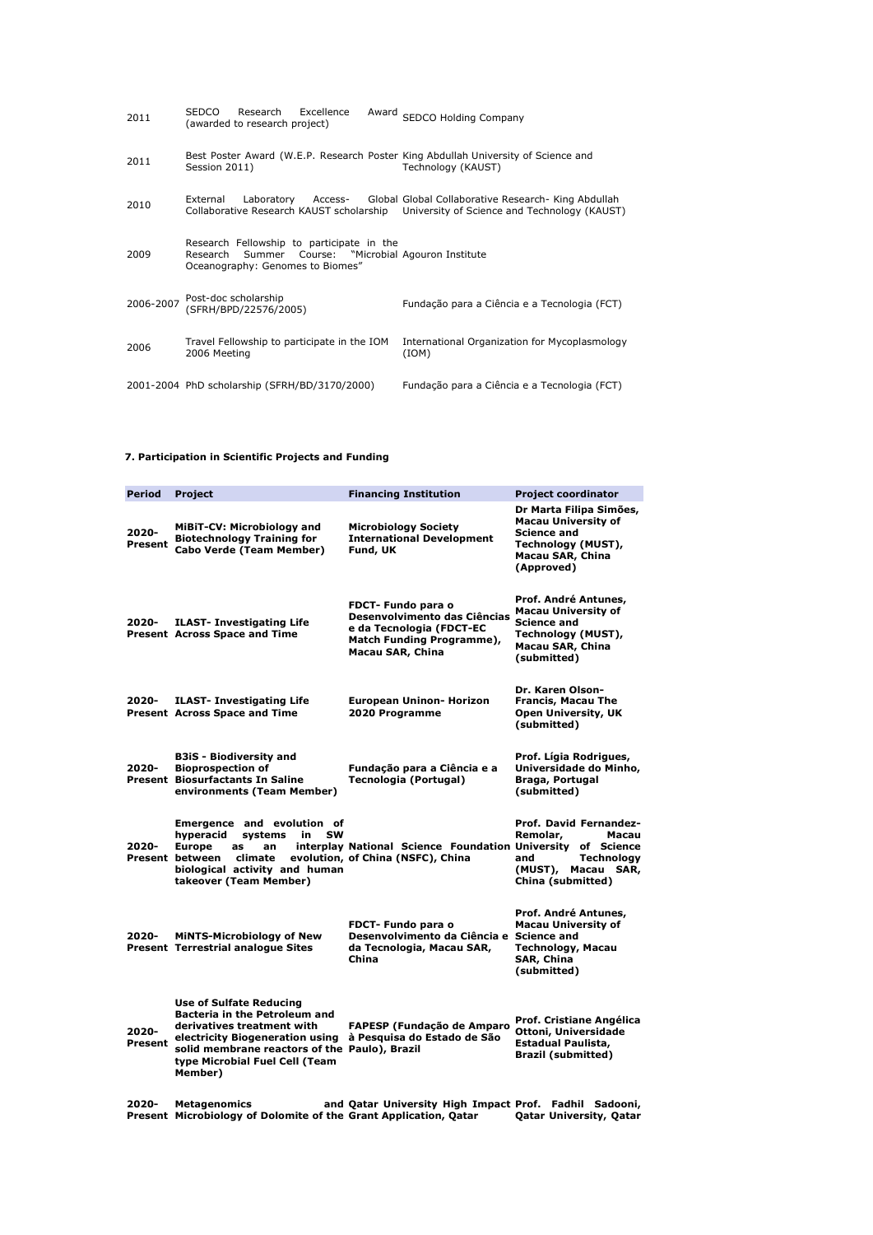| 2011      | <b>SEDCO</b><br>Excellence<br>Research<br>(awarded to research project)                             | Award SEDCO Holding Company                                                                                                                  |
|-----------|-----------------------------------------------------------------------------------------------------|----------------------------------------------------------------------------------------------------------------------------------------------|
| 2011      | Session 2011)                                                                                       | Best Poster Award (W.E.P. Research Poster King Abdullah University of Science and<br>Technology (KAUST)                                      |
| 2010      | Laboratory Access-<br>External                                                                      | Global Global Collaborative Research- King Abdullah<br>Collaborative Research KAUST scholarship University of Science and Technology (KAUST) |
| 2009      | Research Fellowship to participate in the<br>Summer<br>Research<br>Oceanography: Genomes to Biomes" | Course: "Microbial Agouron Institute                                                                                                         |
| 2006-2007 | Post-doc scholarship<br>(SFRH/BPD/22576/2005)                                                       | Fundação para a Ciência e a Tecnologia (FCT)                                                                                                 |
| 2006      | Travel Fellowship to participate in the IOM<br>2006 Meeting                                         | International Organization for Mycoplasmology<br>(ION)                                                                                       |
|           | 2001-2004 PhD scholarship (SFRH/BD/3170/2000)                                                       | Fundação para a Ciência e a Tecnologia (FCT)                                                                                                 |

## **7. Participation in Scientific Projects and Funding**

| Period           | Project                                                                                                                                                                                                                               | <b>Financing Institution</b>                                                                                                    | <b>Project coordinator</b>                                                                                                          |
|------------------|---------------------------------------------------------------------------------------------------------------------------------------------------------------------------------------------------------------------------------------|---------------------------------------------------------------------------------------------------------------------------------|-------------------------------------------------------------------------------------------------------------------------------------|
| 2020-<br>Present | MiBiT-CV: Microbiology and<br><b>Biotechnology Training for</b><br><b>Cabo Verde (Team Member)</b>                                                                                                                                    | <b>Microbiology Society</b><br><b>International Development</b><br>Fund, UK                                                     | Dr Marta Filipa Simões,<br><b>Macau University of</b><br><b>Science and</b><br>Technology (MUST),<br>Macau SAR, China<br>(Approved) |
| 2020-            | <b>ILAST- Investigating Life</b><br><b>Present Across Space and Time</b>                                                                                                                                                              | FDCT- Fundo para o<br>Desenvolvimento das Ciências<br>e da Tecnologia (FDCT-EC<br>Match Funding Programme),<br>Macau SAR, China | Prof. André Antunes,<br><b>Macau University of</b><br><b>Science and</b><br>Technology (MUST),<br>Macau SAR, China<br>(submitted)   |
| 2020-            | <b>ILAST- Investigating Life</b><br><b>Present Across Space and Time</b>                                                                                                                                                              | European Uninon- Horizon<br>2020 Programme                                                                                      | Dr. Karen Olson-<br>Francis, Macau The<br><b>Open University, UK</b><br>(submitted)                                                 |
| 2020-            | <b>B3iS</b> - Biodiversity and<br><b>Bioprospection of</b><br><b>Present Biosurfactants In Saline</b><br>environments (Team Member)                                                                                                   | Fundação para a Ciência e a<br>Tecnologia (Portugal)                                                                            | Prof. Lígia Rodrigues,<br>Universidade do Minho,<br>Braga, Portugal<br>(submitted)                                                  |
| 2020-            | Emergence and evolution of<br>systems<br>hyperacid<br>in<br>sw<br><b>Europe</b><br>as<br>an<br>Present between<br>climate<br>biological activity and human<br>takeover (Team Member)                                                  | interplay National Science Foundation University of Science<br>evolution, of China (NSFC), China                                | Prof. David Fernandez-<br>Remolar,<br>Macau<br>Technology<br>and<br>(MUST),<br>Macau SAR,<br>China (submitted)                      |
| 2020-            | <b>MINTS-Microbiology of New</b><br><b>Present Terrestrial analogue Sites</b>                                                                                                                                                         | FDCT- Fundo para o<br>Desenvolvimento da Ciência e Science and<br>da Tecnologia, Macau SAR,<br>China                            | Prof. André Antunes,<br>Macau University of<br><b>Technology, Macau</b><br>SAR, China<br>(submitted)                                |
| 2020-<br>Present | <b>Use of Sulfate Reducing</b><br><b>Bacteria in the Petroleum and</b><br>derivatives treatment with<br>electricity Biogeneration using<br>solid membrane reactors of the Paulo), Brazil<br>type Microbial Fuel Cell (Team<br>Member) | <b>FAPESP (Fundação de Amparo</b><br>à Pesquisa do Estado de São                                                                | Prof. Cristiane Angélica<br>Ottoni, Universidade<br>Estadual Paulista,<br><b>Brazil (submitted)</b>                                 |
| 2020-            | <b>Metagenomics</b><br>Present Microbiology of Dolomite of the Grant Application, Qatar                                                                                                                                               | and Qatar University High Impact Prof. Fadhil Sadooni,                                                                          | <b>Qatar University, Qatar</b>                                                                                                      |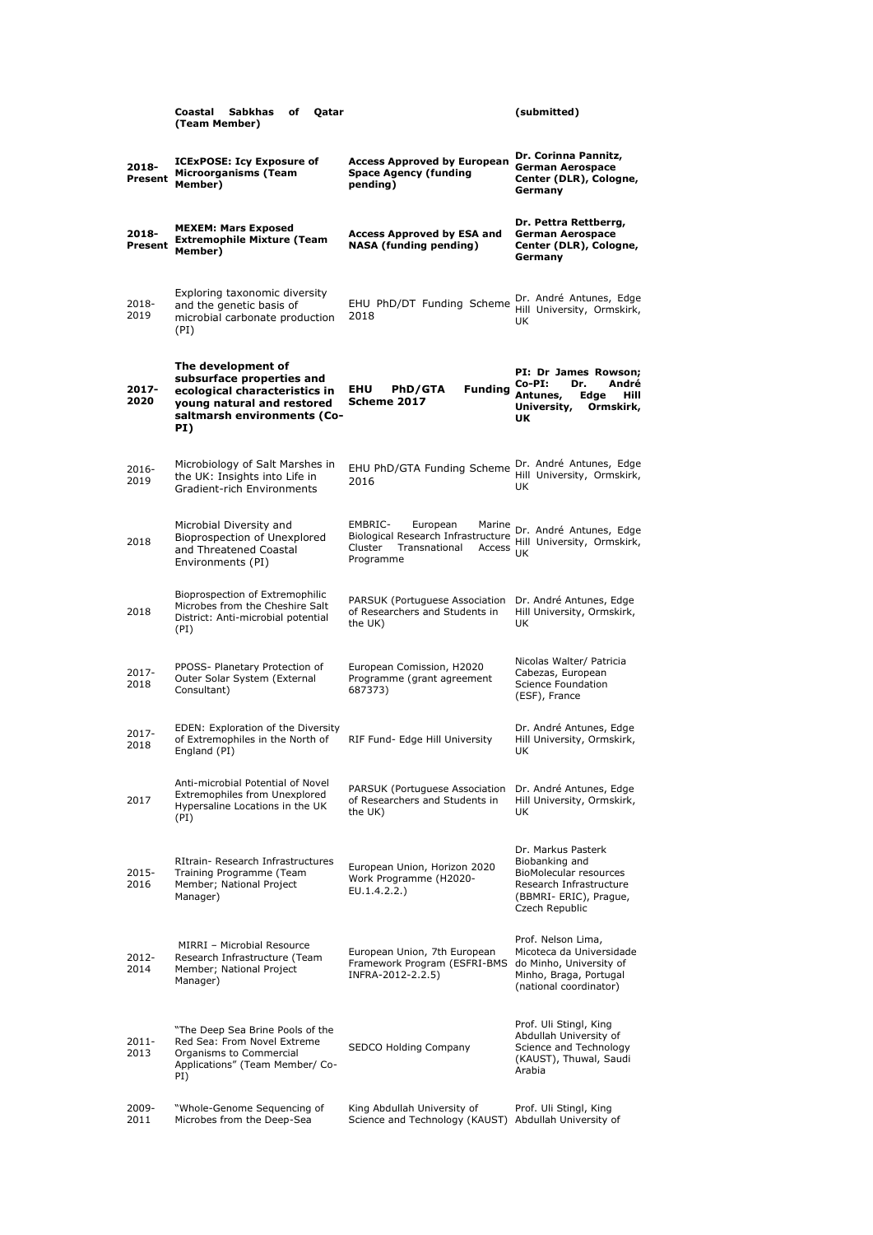|                  | Coastal<br>Sabkhas<br>of<br>Qatar<br>(Team Member)                                                                                                   |                                                                                                                 | (submitted)                                                                                                                           |
|------------------|------------------------------------------------------------------------------------------------------------------------------------------------------|-----------------------------------------------------------------------------------------------------------------|---------------------------------------------------------------------------------------------------------------------------------------|
| 2018-<br>Present | <b>ICExPOSE: Icy Exposure of</b><br><b>Microorganisms (Team</b><br>Member)                                                                           | <b>Access Approved by European</b><br><b>Space Agency (funding</b><br>pending)                                  | Dr. Corinna Pannitz,<br><b>German Aerospace</b><br>Center (DLR), Cologne,<br>Germany                                                  |
| 2018-<br>Present | <b>MEXEM: Mars Exposed</b><br><b>Extremophile Mixture (Team</b><br>Member)                                                                           | <b>Access Approved by ESA and</b><br><b>NASA</b> (funding pending)                                              | Dr. Pettra Rettberrg,<br><b>German Aerospace</b><br>Center (DLR), Cologne,<br>Germany                                                 |
| 2018-<br>2019    | Exploring taxonomic diversity<br>and the genetic basis of<br>microbial carbonate production<br>(PI)                                                  | EHU PhD/DT Funding Scheme<br>2018                                                                               | Dr. André Antunes, Edge<br>Hill University, Ormskirk,<br>UK                                                                           |
| 2017-<br>2020    | The development of<br>subsurface properties and<br>ecological characteristics in<br>young natural and restored<br>saltmarsh environments (Co-<br>PI) | <b>PhD/GTA</b><br><b>Funding</b><br>EHU<br>Scheme 2017                                                          | PI: Dr James Rowson;<br>Co-PI:<br>Dr.<br>André<br>Antunes,<br>Edge<br>Hill<br>University,<br>Ormskirk,<br>UΚ                          |
| 2016-<br>2019    | Microbiology of Salt Marshes in<br>the UK: Insights into Life in<br><b>Gradient-rich Environments</b>                                                | EHU PhD/GTA Funding Scheme<br>2016                                                                              | Dr. André Antunes, Edge<br>Hill University, Ormskirk,<br>UK                                                                           |
| 2018             | Microbial Diversity and<br>Bioprospection of Unexplored<br>and Threatened Coastal<br>Environments (PI)                                               | EMBRIC-<br>European<br>Biological Research Infrastructure<br>Cluster<br>Transnational<br>Access UK<br>Programme | Marine Dr. André Antunes, Edge<br>Hill University, Ormskirk,                                                                          |
| 2018             | Bioprospection of Extremophilic<br>Microbes from the Cheshire Salt<br>District: Anti-microbial potential<br>(PI)                                     | PARSUK (Portuguese Association<br>of Researchers and Students in<br>the UK)                                     | Dr. André Antunes, Edge<br>Hill University, Ormskirk,<br>UK                                                                           |
| 2017-<br>2018    | PPOSS- Planetary Protection of<br>Outer Solar System (External<br>Consultant)                                                                        | European Comission, H2020<br>Programme (grant agreement<br>687373)                                              | Nicolas Walter/ Patricia<br>Cabezas, European<br><b>Science Foundation</b><br>(ESF), France                                           |
| 2017-<br>2018    | EDEN: Exploration of the Diversity<br>of Extremophiles in the North of<br>England (PI)                                                               | RIF Fund- Edge Hill University                                                                                  | Dr. André Antunes, Edge<br>Hill University, Ormskirk,<br>UK                                                                           |
| 2017             | Anti-microbial Potential of Novel<br><b>Extremophiles from Unexplored</b><br>Hypersaline Locations in the UK<br>(PI)                                 | PARSUK (Portuguese Association<br>of Researchers and Students in<br>the UK)                                     | Dr. André Antunes, Edge<br>Hill University, Ormskirk,<br>UK                                                                           |
| 2015-<br>2016    | RItrain- Research Infrastructures<br>Training Programme (Team<br>Member; National Project<br>Manager)                                                | European Union, Horizon 2020<br>Work Programme (H2020-<br>EU.1.4.2.2.)                                          | Dr. Markus Pasterk<br>Biobanking and<br>BioMolecular resources<br>Research Infrastructure<br>(BBMRI- ERIC), Prague,<br>Czech Republic |
| 2012-<br>2014    | MIRRI - Microbial Resource<br>Research Infrastructure (Team<br>Member; National Project<br>Manager)                                                  | European Union, 7th European<br>Framework Program (ESFRI-BMS<br>INFRA-2012-2.2.5)                               | Prof. Nelson Lima,<br>Micoteca da Universidade<br>do Minho, University of<br>Minho, Braga, Portugal<br>(national coordinator)         |
| 2011-<br>2013    | "The Deep Sea Brine Pools of the<br>Red Sea: From Novel Extreme<br>Organisms to Commercial<br>Applications" (Team Member/ Co-<br>PI)                 | SEDCO Holding Company                                                                                           | Prof. Uli Stingl, King<br>Abdullah University of<br>Science and Technology<br>(KAUST), Thuwal, Saudi<br>Arabia                        |
| 2009-<br>2011    | "Whole-Genome Sequencing of<br>Microbes from the Deep-Sea                                                                                            | King Abdullah University of<br>Science and Technology (KAUST)                                                   | Prof. Uli Stingl, King<br>Abdullah University of                                                                                      |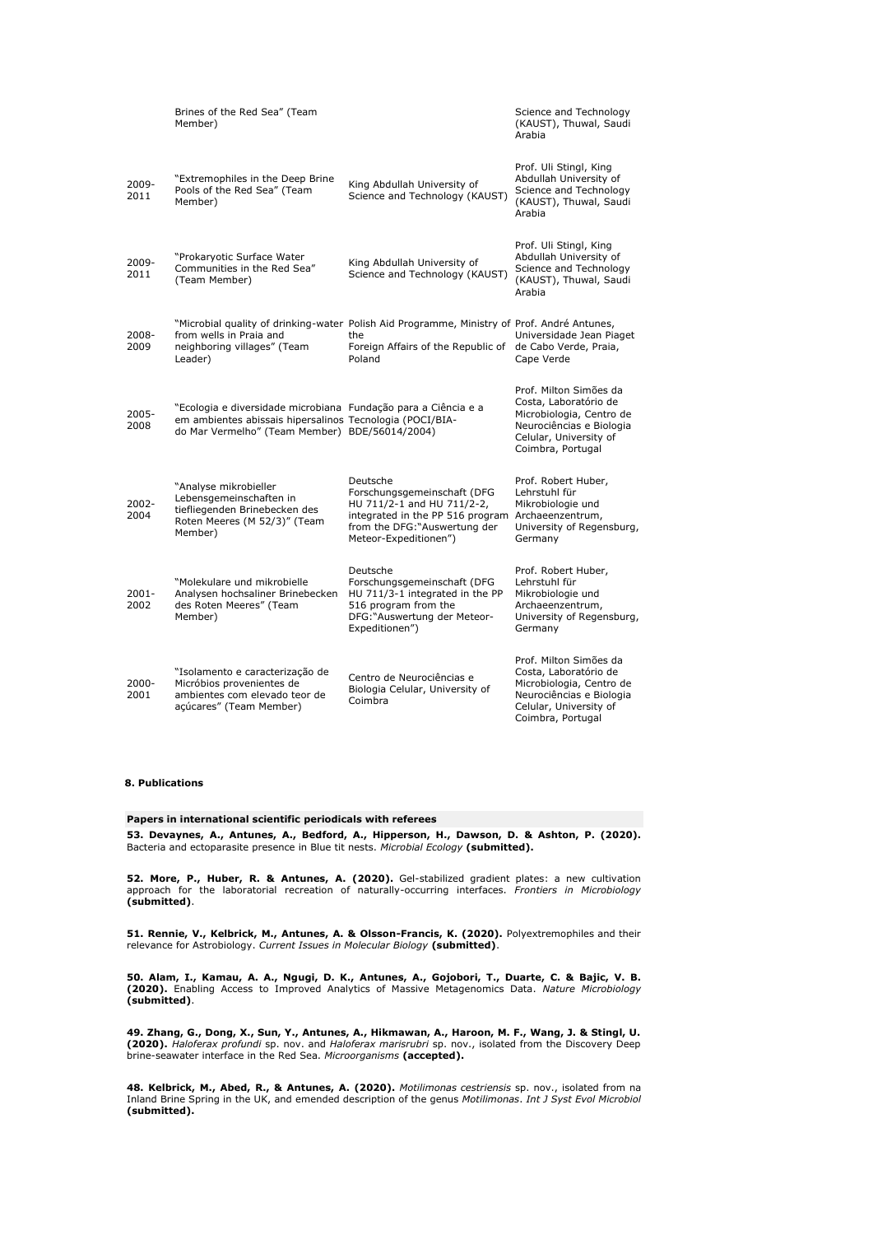|               | Brines of the Red Sea" (Team<br>Member)                                                                                                                                      |                                                                                                                                                                                      | Science and Technology<br>(KAUST), Thuwal, Saudi<br>Arabia                                                                                             |
|---------------|------------------------------------------------------------------------------------------------------------------------------------------------------------------------------|--------------------------------------------------------------------------------------------------------------------------------------------------------------------------------------|--------------------------------------------------------------------------------------------------------------------------------------------------------|
| 2009-<br>2011 | "Extremophiles in the Deep Brine<br>Pools of the Red Sea" (Team<br>Member)                                                                                                   | King Abdullah University of<br>Science and Technology (KAUST)                                                                                                                        | Prof. Uli Stingl, King<br>Abdullah University of<br>Science and Technology<br>(KAUST), Thuwal, Saudi<br>Arabia                                         |
| 2009-<br>2011 | "Prokaryotic Surface Water<br>Communities in the Red Sea"<br>(Team Member)                                                                                                   | King Abdullah University of<br>Science and Technology (KAUST)                                                                                                                        | Prof. Uli Stingl, King<br>Abdullah University of<br>Science and Technology<br>(KAUST), Thuwal, Saudi<br>Arabia                                         |
| 2008-<br>2009 | "Microbial quality of drinking-water Polish Aid Programme, Ministry of Prof. André Antunes,<br>from wells in Praia and<br>neighboring villages" (Team<br>Leader)             | the<br>Foreign Affairs of the Republic of de Cabo Verde, Praia,<br>Poland                                                                                                            | Universidade Jean Piaget<br>Cape Verde                                                                                                                 |
| 2005-<br>2008 | "Ecologia e diversidade microbiana Fundação para a Ciência e a<br>em ambientes abissais hipersalinos Tecnologia (POCI/BIA-<br>do Mar Vermelho" (Team Member) BDE/56014/2004) |                                                                                                                                                                                      | Prof. Milton Simões da<br>Costa, Laboratório de<br>Microbiologia, Centro de<br>Neurociências e Biologia<br>Celular, University of<br>Coimbra, Portugal |
| 2002-<br>2004 | "Analyse mikrobieller<br>Lebensgemeinschaften in<br>tiefliegenden Brinebecken des<br>Roten Meeres (M 52/3)" (Team<br>Member)                                                 | Deutsche<br>Forschungsgemeinschaft (DFG<br>HU 711/2-1 and HU 711/2-2,<br>integrated in the PP 516 program Archaeenzentrum,<br>from the DFG: "Auswertung der<br>Meteor-Expeditionen") | Prof. Robert Huber,<br>Lehrstuhl für<br>Mikrobiologie und<br>University of Regensburg,<br>Germany                                                      |
| 2001-<br>2002 | "Molekulare und mikrobielle<br>Analysen hochsaliner Brinebecken<br>des Roten Meeres" (Team<br>Member)                                                                        | Deutsche<br>Forschungsgemeinschaft (DFG<br>HU 711/3-1 integrated in the PP<br>516 program from the<br>DFG: "Auswertung der Meteor-<br>Expeditionen")                                 | Prof. Robert Huber,<br>Lehrstuhl für<br>Mikrobiologie und<br>Archaeenzentrum,<br>University of Regensburg,<br>Germany                                  |
| 2000-<br>2001 | "Isolamento e caracterização de<br>Micróbios provenientes de<br>ambientes com elevado teor de<br>açúcares" (Team Member)                                                     | Centro de Neurociências e<br>Biologia Celular, University of<br>Coimbra                                                                                                              | Prof. Milton Simões da<br>Costa, Laboratório de<br>Microbiologia, Centro de<br>Neurociências e Biologia<br>Celular, University of<br>Coimbra, Portugal |

## **8. Publications**

### **Papers in international scientific periodicals with referees**

**53. Devaynes, A., Antunes, A., Bedford, A., Hipperson, H., Dawson, D. & Ashton, P. (2020).**  Bacteria and ectoparasite presence in Blue tit nests. *Microbial Ecology* **(submitted).**

**52. More, P., Huber, R. & Antunes, A. (2020).** Gel-stabilized gradient plates: a new cultivation approach for the laboratorial recreation of naturally-occurring interfaces. *Frontiers in Microbiology* **(submitted)**.

**51. Rennie, V., Kelbrick, M., Antunes, A. & Olsson-Francis, K. (2020).** Polyextremophiles and their relevance for Astrobiology. *Current Issues in Molecular Biology* **(submitted)**.

**50. Alam, I., Kamau, A. A., Ngugi, D. K., Antunes, A., Gojobori, T., Duarte, C. & Bajic, V. B.**<br>**(2020).** Enabling Access to Improved Analytics of Massive Metagenomics Data. *Nature Microbiology*<br>**(submitted)**.

**49. Zhang, G., Dong, X., Sun, Y., Antunes, A., Hikmawan, A., Haroon, M. F., Wang, J. & Stingl, U. (2020).** *Haloferax profundi* sp. nov. and *Haloferax marisrubri* sp. nov., isolated from the Discovery Deep brine-seawater interface in the Red Sea. *Microorganisms* **(accepted).**

**48. Kelbrick, M., Abed, R., & Antunes, A. (2020).** *Motilimonas cestriensis* sp. nov., isolated from na<br>Inland Brine Spring in the UK, and emended description of the genus *Motilimonas. Int J Syst Evol Microbiol* **(submitted).**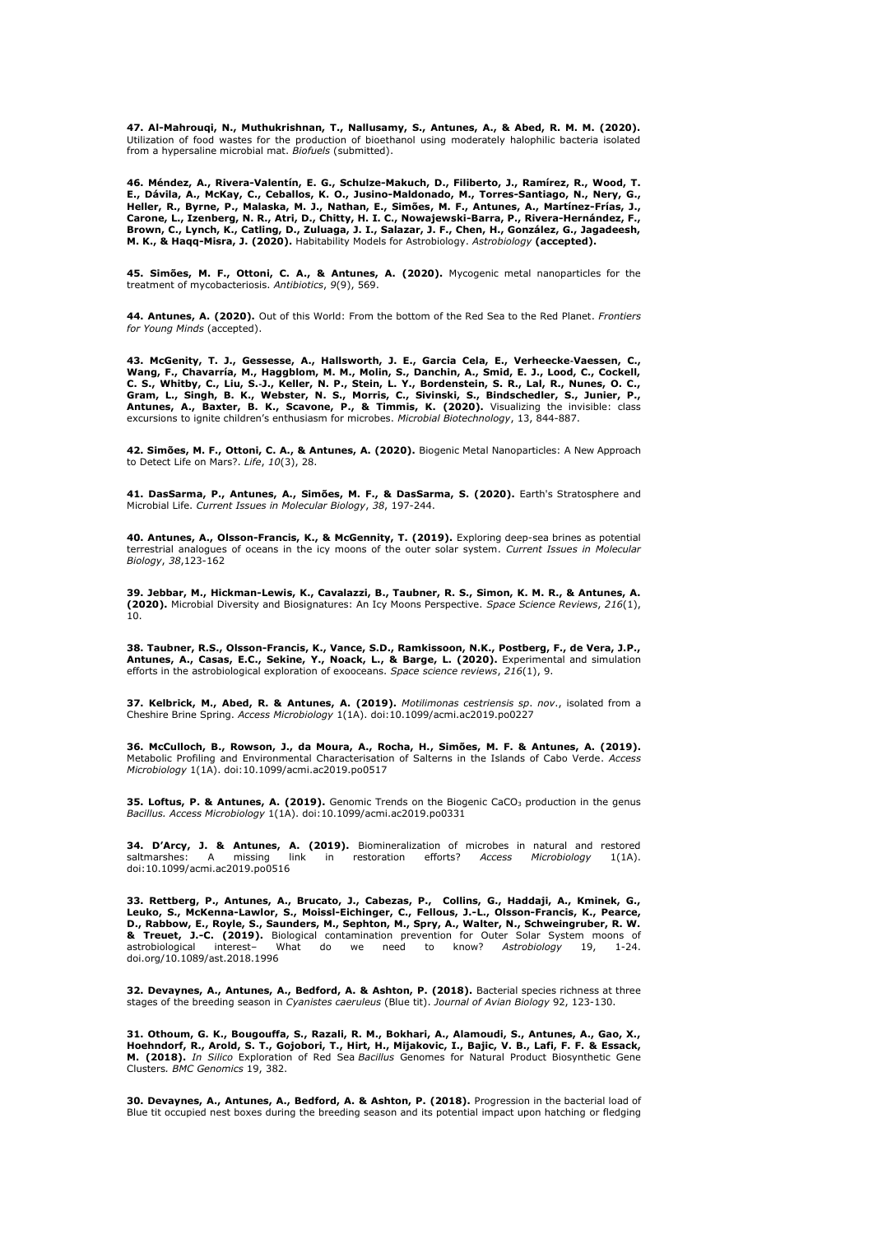**47. Al-Mahrouqi, N., Muthukrishnan, T., Nallusamy, S., Antunes, A., & Abed, R. M. M. (2020).**  Utilization of food wastes for the production of bioethanol using moderately halophilic bacteria isolated from a hypersaline microbial mat. *Biofuels* (submitted).

46. Méndez, A., Rivera-Valentín, E. G., Schulze-Makuch, D., Filiberto, J., Ramírez, R., Wood, T.<br>E., Dávila, A., McKay, C., Ceballos, K. O., Jusino-Maldonado, M., Torres-Santiago, N., Nery, G.,<br>Heller, R., Byrne, P., Malas Carone, L., Izenberg, N. R., Atri, D., Chitty, H. I. C., Nowajewski-Barra, P., Rivera-Hernández, F.,<br>Brown, C., Lynch, K., Catling, D., Zuluaga, J. I., Salazar, J. F., Chen, H., González, G., Jagadeesh, **M. K., & Haqq-Misra, J. (2020).** Habitability Models for Astrobiology. *Astrobiology* **(accepted).**

**45. Simões, M. F., Ottoni, C. A., & Antunes, A. (2020).** Mycogenic metal nanoparticles for the<br>treatment of mycobacteriosis. *Antibiotics,* 9(9), 569.

**44. Antunes, A. (2020).** Out of this World: From the bottom of the Red Sea to the Red Planet. *Frontiers for Young Minds* (accepted).

43. McGenity, T. J., Gessesse, A., Hallsworth, J. E., Garcia Cela, E., Verheecke-Vaessen, C.,<br>Wang, F., Chavarría, M., Haggblom, M. M., Molin, S., Danchin, A., Smid, E. J., Lood, C., Cockell,<br>C. S., Whitby, C., Liu, S.-J., excursions to ignite children's enthusiasm for microbes. *Microbial Biotechnology*, 13, 844-887.

**42. Simões, M. F., Ottoni, C. A., & Antunes, A. (2020).** Biogenic Metal Nanoparticles: A New Approach<br>to Detect Life on Mars?. *Life*, 10(3), 28.

41. DasSarma, P., Antunes, A., Simões, M. F., & DasSarma, S. (2020). Earth's Stratosphere and Microbial Life. *Current Issues in Molecular Biology*, *38*, 197-244.

**40. Antunes, A., Olsson-Francis, K., & McGennity, T. (2019).** Exploring deep-sea brines as potential terrestrial analogues of oceans in the icy moons of the outer solar system. *Current Issues in Molecular Biology*, *38*,123-162

**39. Jebbar, M., Hickman-Lewis, K., Cavalazzi, B., Taubner, R. S., Simon, K. M. R., & Antunes, A. (2020).** Microbial Diversity and Biosignatures: An Icy Moons Perspective. *Space Science Reviews*, *216*(1), 10.

38. Taubner, R.S., Olsson-Francis, K., Vance, S.D., Ramkissoon, N.K., Postberg, F., de Vera, J.P.,<br>Antunes, A., Casas, E.C., Sekine, Y., Noack, L., & Barge, L. (2020). Experimental and simulation<br>efforts in the astrobiolog

**37. Kelbrick, M., Abed, R. & Antunes, A. (2019).** *Motilimonas cestriensis sp*. *nov*., isolated from a Cheshire Brine Spring. *Access Microbiology* 1(1A). doi:10.1099/acmi.ac2019.po0227

**36. McCulloch, B., Rowson, J., da Moura, A., Rocha, H., Simões, M. F. & Antunes, A. (2019).**<br>Metabolic Profiling and Environmental Characterisation of Salterns in the Islands of Cabo Verde. *Access Microbiology* 1(1A). doi:10.1099/acmi.ac2019.po0517

35. Loftus, P. & Antunes, A. (2019). Genomic Trends on the Biogenic CaCO<sub>3</sub> production in the genus *Bacillus. Access Microbiology* 1(1A). doi:10.1099/acmi.ac2019.po0331

**34. D'Arcy, J. & Antunes, A. (2019).** Biomineralization of microbes in natural and restored saltmarshes: A missing link in restoration efforts? *Access Microbiology* 1(1A). doi:10.1099/acmi.ac2019.po0516

**33. Rettberg, P., Antunes, A., Brucato, J., Cabezas, P., Collins, G., Haddaji, A., Kminek, G.,**  Leuko, S., McKenna-Lawlor, S., Moissl-Eichinger, C., Fellous, J.-L., Olsson-Francis, K., Pearce,<br>D., Rabbow, E., Royle, S., Saunders, M., Sephton, M., Spry, A., Walter, N., Schweingruber, R. W.<br>& Treuet, J.-C. (2019). Biol doi.org/10.1089/ast.2018.1996

**32. Devaynes, A., Antunes, A., Bedford, A. & Ashton, P. (2018).** Bacterial species richness at three stages of the breeding season in *Cyanistes caeruleus* (Blue tit). *Journal of Avian Biology* 92, 123-130.

31. Othoum, G. K., Bougouffa, S., Razali, R. M., Bokhari, A., Alamoudi, S., Antunes, A., Gao, X.,<br>Hoehndorf, R., Arold, S. T., Gojobori, T., Hirt, H., Mijakovic, I., Bajic, V. B., Lafi, F. F. & Essack, **M. (2018).** *In Silico* Exploration of Red Sea *Bacillus* Genomes for Natural Product Biosynthetic Gene Clusters*. BMC Genomics* 19, 382.

**30. Devaynes, A., Antunes, A., Bedford, A. & Ashton, P. (2018).** Progression in the bacterial load of Blue tit occupied nest boxes during the breeding season and its potential impact upon hatching or fledging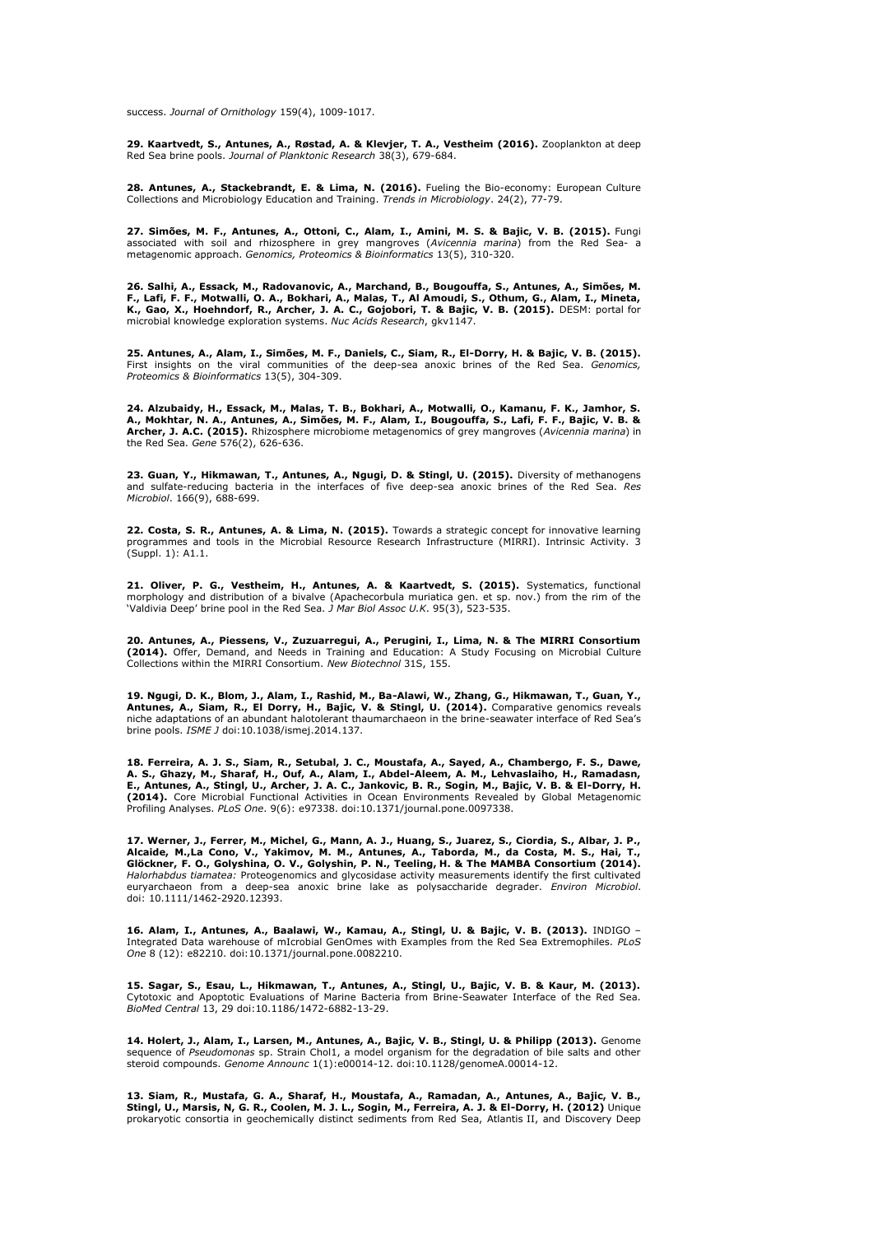success. *Journal of Ornithology* 159(4), 1009-1017.

29. Kaartvedt, S., Antunes, A., Røstad, A. & Klevjer, T. A., Vestheim (2016). Zooplankton at deep Red Sea brine pools. *Journal of Planktonic Research* 38(3), 679-684.

**28. Antunes, A., Stackebrandt, E. & Lima, N. (2016).** Fueling the Bio-economy: European Culture Collections and Microbiology Education and Training. *Trends in Microbiology*. 24(2), 77-79.

27. Simões, M. F., Antunes, A., Ottoni, C., Alam, I., Amini, M. S. & Bajic, V. B. (2015). Fungi<br>associated with soil and rhizosphere in grey mangroves (*Avicennia marina*) from the Red Sea- a metagenomic approach. *Genomics, Proteomics & Bioinformatics* 13(5), 310-320.

26. Salhi, A., Essack, M., Radovanovic, A., Marchand, B., Bougouffa, S., Antunes, A., Simões, M.<br>F., Lafi, F. F., Motwalli, O. A., Bokhari, A., Malas, T., Al Amoudi, S., Othum, G., Alam, I., Mineta,<br>K., Gao, X., Hoehndorf, microbial knowledge exploration systems. *Nuc Acids Research*, gkv1147.

25. Antunes, A., Alam, I., Simões, M. F., Daniels, C., Siam, R., El-Dorry, H. & Bajic, V. B. (2015). First insights on the viral communities of the deep-sea anoxic brines of the Red Sea. *Genomics, Proteomics & Bioinformatics* 13(5), 304-309.

**24. Alzubaidy, H., Essack, M., Malas, T. B., Bokhari, A., Motwalli, O., Kamanu, F. K., Jamhor, S. A., Mokhtar, N. A., Antunes, A., Simõ es, M. F., Alam, I., Bougouffa, S., Lafi, F. F., Bajic, V. B. & Archer, J. A.C. (2015).** Rhizosphere microbiome metagenomics of grey mangroves (*Avicennia marina*) in the Red Sea. *Gene* 576(2), 626-636.

**23. Guan, Y., Hikmawan, T., Antunes, A., Ngugi, D. & Stingl, U. (2015).** Diversity of methanogens and sulfate-reducing bacteria in the interfaces of five deep-sea anoxic brines of the Red Sea. *Res Microbiol*. 166(9), 688-699.

**22. Costa, S. R., Antunes, A. & Lima, N. (2015).** Towards a strategic concept for innovative learning programmes and tools in the Microbial Resource Research Infrastructure (MIRRI). Intrinsic Activity. 3 (Suppl. 1): A1.1.

21. Oliver, P. G., Vestheim, H., Antunes, A. & Kaartvedt, S. (2015). Systematics, functional morphology and distribution of a bivalve (Apachecorbula muriatica gen. et sp. nov.) from the rim of the 'Valdivia Deep' brine pool in the Red Sea. *J Mar Biol Assoc U.K*. 95(3), 523-535.

**20. Antunes, A., Piessens, V., Zuzuarregui, A., Perugini, I., Lima, N. & The MIRRI Consortium (2014).** Offer, Demand, and Needs in Training and Education: A Study Focusing on Microbial Culture Collections within the MIRRI Consortium. *New Biotechnol* 31S, 155.

**19. Ngugi, D. K., Blom, J., Alam, I., Rashid, M., Ba-Alawi, W., Zhang, G., Hikmawan, T., Guan, Y., Antunes, A., Siam, R., El Dorry, H., Bajic, V. & Stingl, U. (2014).** Comparative genomics reveals niche adaptations of an abundant halotolerant thaumarchaeon in the brine-seawater interface of Red Sea's brine pools. *ISME J* doi:10.1038/ismej.2014.137.

18. Ferreira, A. J. S., Siam, R., Setubal, J. C., Moustafa, A., Sayed, A., Chambergo, F. S., Dawe,<br>A. S., Ghazy, M., Sharaf, H., Ouf, A., Alam, I., Abdel-Aleem, A. M., Lehvaslaiho, H., Ramadasn,<br>E., Antunes, A., Stingl, U. Profiling Analyses. *PLoS One*. 9(6): e97338. doi:10.1371/journal.pone.0097338.

17. Werner, J., Ferrer, M., Michel, G., Mann, A. J., Huang, S., Juarez, S., Ciordia, S., Albar, J. P.,<br>Alcaide, M.,La Cono, V., Yakimov, M. M., Antunes, A., Taborda, M., da Costa, M. S., Hai, T., **Glö ckner, F. O., Golyshina, O. V., Golyshin, P. N., Teeling, H. & The MAMBA Consortium (2014).**  *Halorhabdus tiamatea:* Proteogenomics and glycosidase activity measurements identify the first cultivated euryarchaeon from a deep-sea anoxic brine lake as polysaccharide degrader. *Environ Microbiol*. doi: 10.1111/1462-2920.12393.

**16. Alam, I., Antunes, A., Baalawi, W., Kamau, A., Stingl, U. & Bajic, V. B. (2013).** INDIGO – Integrated Data warehouse of mIcrobial GenOmes with Examples from the Red Sea Extremophiles. *PLoS One* 8 (12): e82210. doi:10.1371/journal.pone.0082210.

**15. Sagar, S., Esau, L., Hikmawan, T., Antunes, A., Stingl, U., Bajic, V. B. & Kaur, M. (2013).**  Cytotoxic and Apoptotic Evaluations of Marine Bacteria from Brine-Seawater Interface of the Red Sea. *BioMed Central* 13, 29 doi:10.1186/1472-6882-13-29.

**14. Holert, J., Alam, I., Larsen, M., Antunes, A., Bajic, V. B., Stingl, U. & Philipp (2013).** Genome sequence of *Pseudomonas* sp. Strain Chol1, a model organism for the degradation of bile salts and other steroid compounds. *Genome Announc* 1(1):e00014-12. doi:10.1128/genomeA.00014-12.

**13. Siam, R., Mustafa, G. A., Sharaf, H., Moustafa, A., Ramadan, A., Antunes, A., Bajic, V. B., Stingl, U., Marsis, N, G. R., Coolen, M. J. L., Sogin, M., Ferreira, A. J. & El-Dorry, H. (2012)** Unique prokaryotic consortia in geochemically distinct sediments from Red Sea, Atlantis II, and Discovery Deep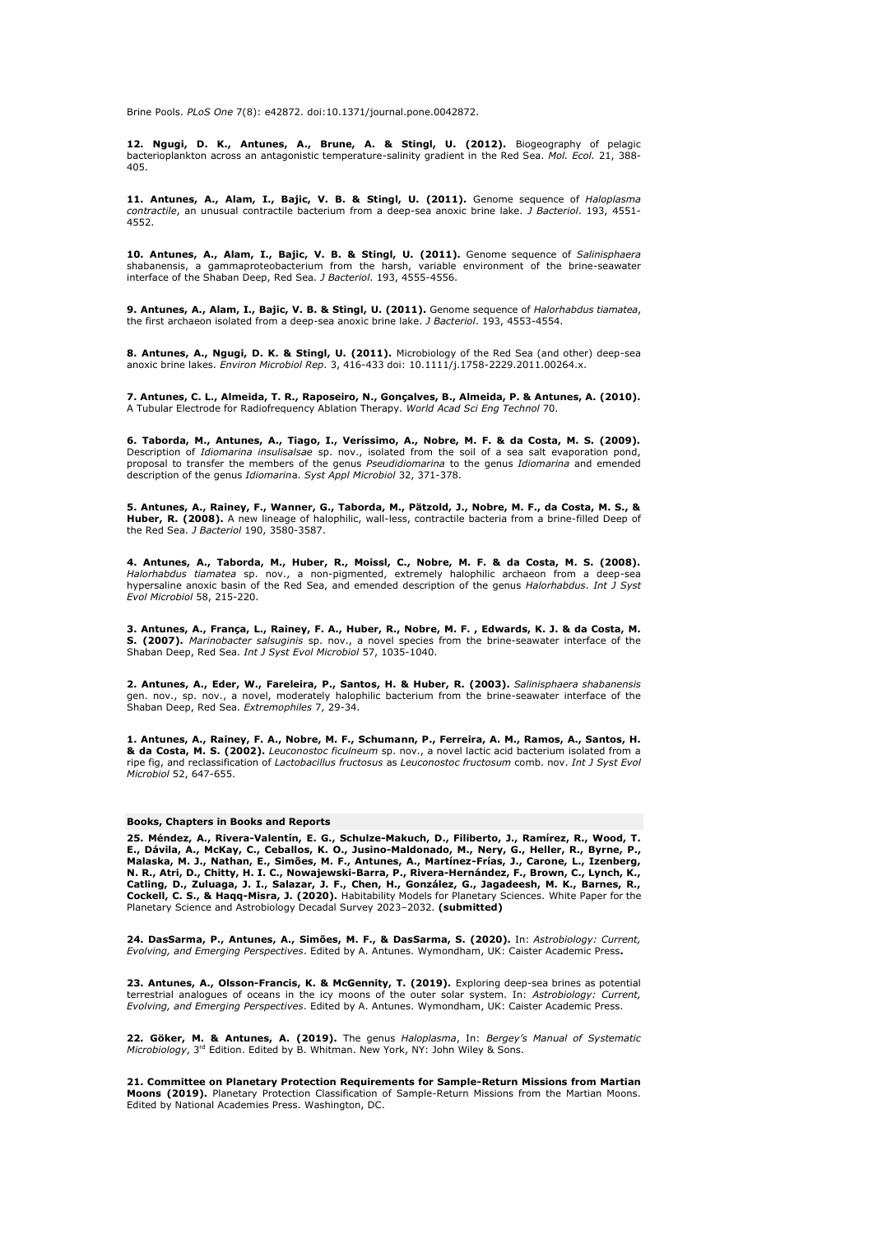Brine Pools. *PLoS One* 7(8): e42872. doi:10.1371/journal.pone.0042872.

**12. Ngugi, D. K., Antunes, A., Brune, A. & Stingl, U. (2012).** Biogeography of pelagic bacterioplankton across an antagonistic temperature-salinity gradient in the Red Sea. *Mol. Ecol.* 21, 388- 405.

**11. Antunes, A., Alam, I., Bajic, V. B. & Stingl, U. (2011).** Genome sequence of *Haloplasma contractile*, an unusual contractile bacterium from a deep-sea anoxic brine lake. *J Bacteriol*. 193, 4551- 4552.

**10. Antunes, A., Alam, I., Bajic, V. B. & Stingl, U. (2011).** Genome sequence of *Salinisphaera*  shabanensis, a gammaproteobacterium from the harsh, variable environment of the brine-seawater interface of the Shaban Deep, Red Sea. *J Bacteriol*. 193, 4555-4556.

**9. Antunes, A., Alam, I., Bajic, V. B. & Stingl, U. (2011).** Genome sequence of *Halorhabdus tiamatea*, the first archaeon isolated from a deep-sea anoxic brine lake. *J Bacteriol*. 193, 4553-4554.

**8. Antunes, A., Ngugi, D. K. & Stingl, U. (2011).** Microbiology of the Red Sea (and other) deep-sea anoxic brine lakes. *Environ Microbiol Rep*. 3, 416-433 doi: 10.1111/j.1758-2229.2011.00264.x.

**7. Antunes, C. L., Almeida, T. R., Raposeiro, N., Gonçalves, B., Almeida, P. & Antunes, A. (2010).** A Tubular Electrode for Radiofrequency Ablation Therapy. *World Acad Sci Eng Technol* 70.

**6. Taborda, M., Antunes, A., Tiago, I., Veríssimo, A., Nobre, M. F. & da Costa, M. S. (2009).** Description of *Idiomarina insulisalsae* sp. nov., isolated from the soil of a sea salt evaporation pond, proposal to transfer the members of the genus *Pseudidiomarina* to the genus *Idiomarina* and emended description of the genus *Idiomarin*a. *Syst Appl Microbiol* 32, 371-378.

5. Antunes, A., Rainey, F., Wanner, G., Taborda, M., Pätzold, J., Nobre, M. F., da Costa, M. S., & **Huber, R. (2008).** A new lineage of halophilic, wall-less, contractile bacteria from a brine-filled Deep of the Red Sea. *J Bacteriol* 190, 3580-3587.

**4. Antunes, A., Taborda, M., Huber, R., Moissl, C., Nobre, M. F. & da Costa, M. S. (2008).**<br>*Halorhabdus tiamatea s*p. nov., a non-pigmented, extremely halophilic archaeon from a deep-sea<br>hypersaline anoxic basin of the R *Evol Microbiol* 58, 215-220.

**3. Antunes, A., França, L., Rainey, F. A., Huber, R., Nobre, M. F. , Edwards, K. J. & da Costa, M. S. (2007).** *Marinobacter salsuginis* sp. nov., a novel species from the brine-seawater interface of the Shaban Deep, Red Sea. *Int J Syst Evol Microbiol* 57, 1035-1040.

**2. Antunes, A., Eder, W., Fareleira, P., Santos, H. & Huber, R. (2003).** *Salinisphaera shabanensis* gen. nov., sp. nov., a novel, moderately halophilic bacterium from the brine-seawater interface of the Shaban Deep, Red Sea. *Extremophiles* 7, 29-34.

**1. Antunes, A., Rainey, F. A., Nobre, M. F., Schumann, P., Ferreira, A. M., Ramos, A., Santos, H. & da Costa, M. S. (2002).** *Leuconostoc ficulneum* sp. nov., a novel lactic acid bacterium isolated from a ripe fig, and reclassification of *Lactobacillus fructosus* as *Leuconostoc fructosum* comb. nov. *Int J Syst Evol Microbiol* 52, 647-655.

#### **Books, Chapters in Books and Reports**

**25. Mé ndez, A., Rivera-Valentín, E. G., Schulze-Makuch, D., Filiberto, J., Ramírez, R., Wood, T.** E., Dávila, A., McKay, C., Ceballos, K. O., Jusino-Maldonado, M., Nery, G., Heller, R., Byrne, P.,<br>Malaska, M. J., Nathan, E., Simões, M. F., Antunes, A., Martínez-Frías, J., Carone, L., Izenberg, **N. R., Atri, D., Chitty, H. I. C., Nowajewski-Barra, P., Rivera-Herná ndez, F., Brown, C., Lynch, K., Catling, D., Zuluaga, J. I., Salazar, J. F., Chen, H., Gonzá lez, G., Jagadeesh, M. K., Barnes, R., Cockell, C. S., & Haqq-Misra, J. (2020).** Habitability Models for Planetary Sciences. White Paper for the Planetary Science and Astrobiology Decadal Survey 2023–2032. **(submitted)**

24. DasSarma, P., Antunes, A., Simões, M. F., & DasSarma, S. (2020). In: *Astrobiology: Current,*<br>*Evolving, and Emerging Perspectives*. Edited by A. Antunes. Wymondham, UK: Caister Academic Press.

23. Antunes, A., Olsson-Francis, K. & McGennity, T. (2019). Exploring deep-sea brines as potential terrestrial analogues of oceans in the icy moons of the outer solar system. In: *Astrobiology: Current, Evolving, and Emerging Perspectives*. Edited by A. Antunes. Wymondham, UK: Caister Academic Press.

**22. Gö ker, M. & Antunes, A. (2019).** The genus *Haloplasma*, In: *Bergey's Manual of Systematic Microbiology*, 3rd Edition. Edited by B. Whitman. New York, NY: John Wiley & Sons.

**21. Committee on Planetary Protection Requirements for Sample-Return Missions from Martian Moons (2019).** Planetary Protection Classification of Sample-Return Missions from the Martian Moons. Edited by National Academies Press. Washington, DC.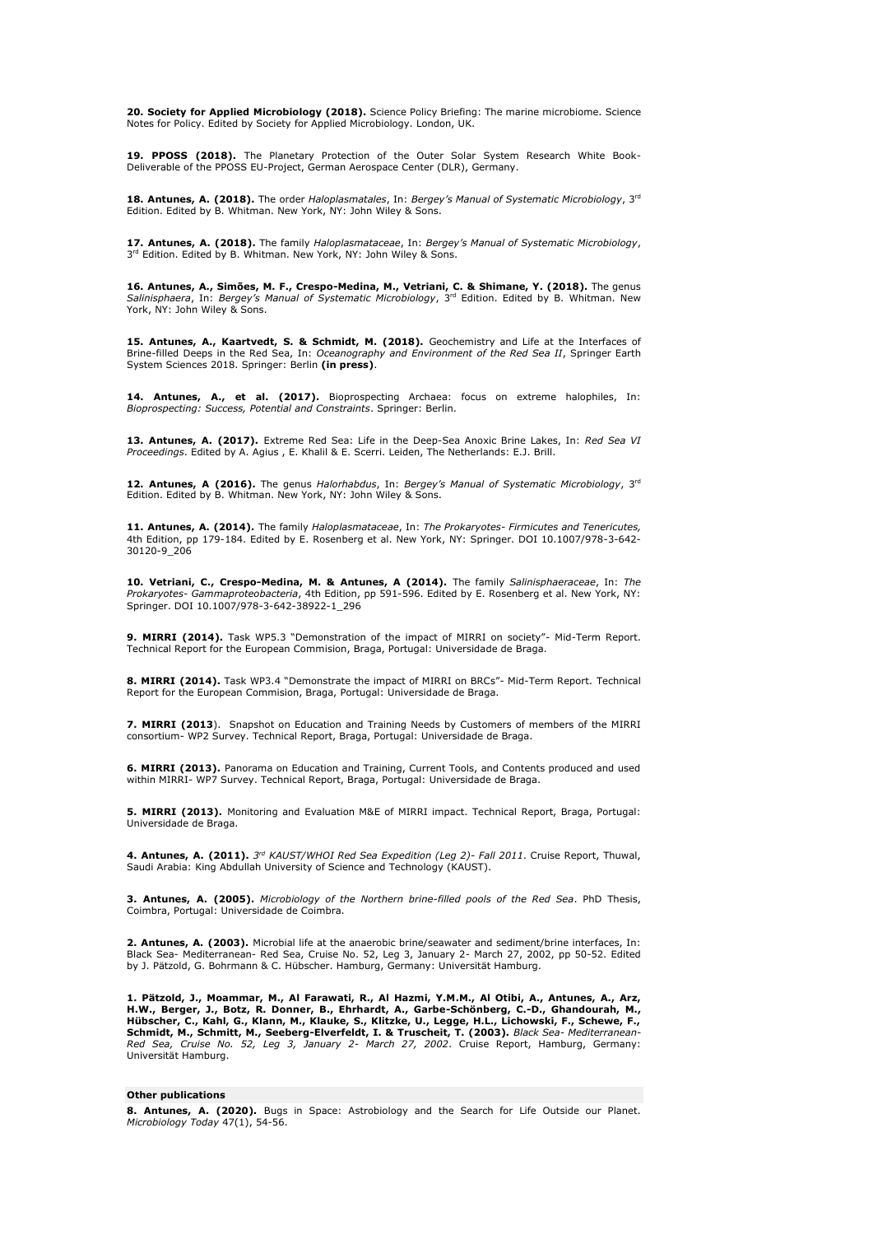**20. Society for Applied Microbiology (2018).** Science Policy Briefing: The marine microbiome. Science Notes for Policy. Edited by Society for Applied Microbiology. London, UK.

19. PPOSS (2018). The Planetary Protection of the Outer Solar System Research White Book-Deliverable of the PPOSS EU-Project, German Aerospace Center (DLR), Germany.

**18. Antunes, A. (2018).** The order *Haloplasmatales*, In: *Bergey's Manual of Systematic Microbiology*, 3rd Edition. Edited by B. Whitman. New York, NY: John Wiley & Sons.

**17. Antunes, A. (2018).** The family *Haloplasmataceae*, In: *Bergey's Manual of Systematic Microbiology*, 3<sup>rd</sup> Edition. Edited by B. Whitman. New York, NY: John Wiley & Sons.

**16. Antunes, A., Simões, M. F., Crespo-Medina, M., Vetriani, C. & Shimane, Y. (2018).** The genus<br>*Salinisphaera*, In: *Bergey's Manual of Systematic Microbiology*, 3<sup>rd</sup> Edition. Edited by B. Whitman. New York, NY: John Wiley & Sons.

15. Antunes, A., Kaartvedt, S. & Schmidt, M. (2018). Geochemistry and Life at the Interfaces of Brine-filled Deeps in the Red Sea, In: *Oceanography and Environment of the Red Sea II*, Springer Earth System Sciences 2018. Springer: Berlin **(in press)**.

**14. Antunes, A., et al. (2017).** Bioprospecting Archaea: focus on extreme halophiles, In: *Bioprospecting: Success, Potential and Constraints*. Springer: Berlin.

**13. Antunes, A. (2017).** Extreme Red Sea: Life in the Deep-Sea Anoxic Brine Lakes, In: *Red Sea VI Proceedings*. Edited by A. Agius , E. Khalil & E. Scerri. Leiden, The Netherlands: E.J. Brill.

**12. Antunes, A (2016).** The genus *Halorhabdus*, In: *Bergey's Manual of Systematic Microbiology*, 3rd Edition. Edited by B. Whitman. New York, NY: John Wiley & Sons.

**11. Antunes, A. (2014).** The family *Haloplasmataceae*, In: *The Prokaryotes- Firmicutes and Tenericutes,*  4th Edition, pp 179-184. Edited by E. Rosenberg et al. New York, NY: Springer. DOI 10.1007/978-3-642- 30120-9\_206

**10. Vetriani, C., Crespo-Medina, M. & Antunes, A (2014).** The family *Salinisphaeraceae*, In: *The Prokaryotes- Gammaproteobacteria*, 4th Edition, pp 591-596. Edited by E. Rosenberg et al. New York, NY: Springer. DOI 10.1007/978-3-642-38922-1\_296

**9. MIRRI (2014).** Task WP5.3 "Demonstration of the impact of MIRRI on society"- Mid-Term Report. Technical Report for the European Commision, Braga, Portugal: Universidade de Braga.

**8. MIRRI (2014).** Task WP3.4 "Demonstrate the impact of MIRRI on BRCs"- Mid-Term Report. Technical Report for the European Commision, Braga, Portugal: Universidade de Braga.

**7. MIRRI (2013**). Snapshot on Education and Training Needs by Customers of members of the MIRRI consortium- WP2 Survey. Technical Report, Braga, Portugal: Universidade de Braga.

**6. MIRRI (2013).** Panorama on Education and Training, Current Tools, and Contents produced and used within MIRRI- WP7 Survey. Technical Report, Braga, Portugal: Universidade de Braga.

**5. MIRRI (2013).** Monitoring and Evaluation M&E of MIRRI impact. Technical Report, Braga, Portugal: Universidade de Braga.

**4. Antunes, A. (2011).** *3 rd KAUST/WHOI Red Sea Expedition (Leg 2)- Fall 2011*. Cruise Report, Thuwal, Saudi Arabia: King Abdullah University of Science and Technology (KAUST).

**3. Antunes, A. (2005).** *Microbiology of the Northern brine-filled pools of the Red Sea*. PhD Thesis, Coimbra, Portugal: Universidade de Coimbra.

**2. Antunes, A. (2003).** Microbial life at the anaerobic brine/seawater and sediment/brine interfaces, In: Black Sea- Mediterranean- Red Sea, Cruise No. 52, Leg 3, January 2- March 27, 2002, pp 50-52. Edited by J. Pätzold, G. Bohrmann & C. Hübscher. Hamburg, Germany: Universität Hamburg.

1. Pätzold, J., Moammar, M., Al Farawati, R., Al Hazmi, Y.M.M., Al Otibi, A., Antunes, A., Arz,<br>H.W., Berger, J., Botz, R. Donner, B., Ehrhardt, A., Garbe-Schönberg, C.-D., Ghandourah, M., Hübscher, C., Kahl, G., Klann, M., Klauke, S., Klitzke, U., Legge, H.L., Lichowski, F., Schewe, F.,<br>Schmidt, M., Schmitt, M., Seeberg-Elverfeldt, I. & Truscheit, T. (2003). *Black Sea- Mediterranean*-R*ed Sea, Cruise No. 52, Leg 3, January 2- March 27, 2002.* Cruise Report, Hamburg, Germany:<br>Universität Hamburg.

#### **Other publications**

**8. Antunes, A. (2020).** Bugs in Space: Astrobiology and the Search for Life Outside our Planet. *Microbiology Today* 47(1), 54-56.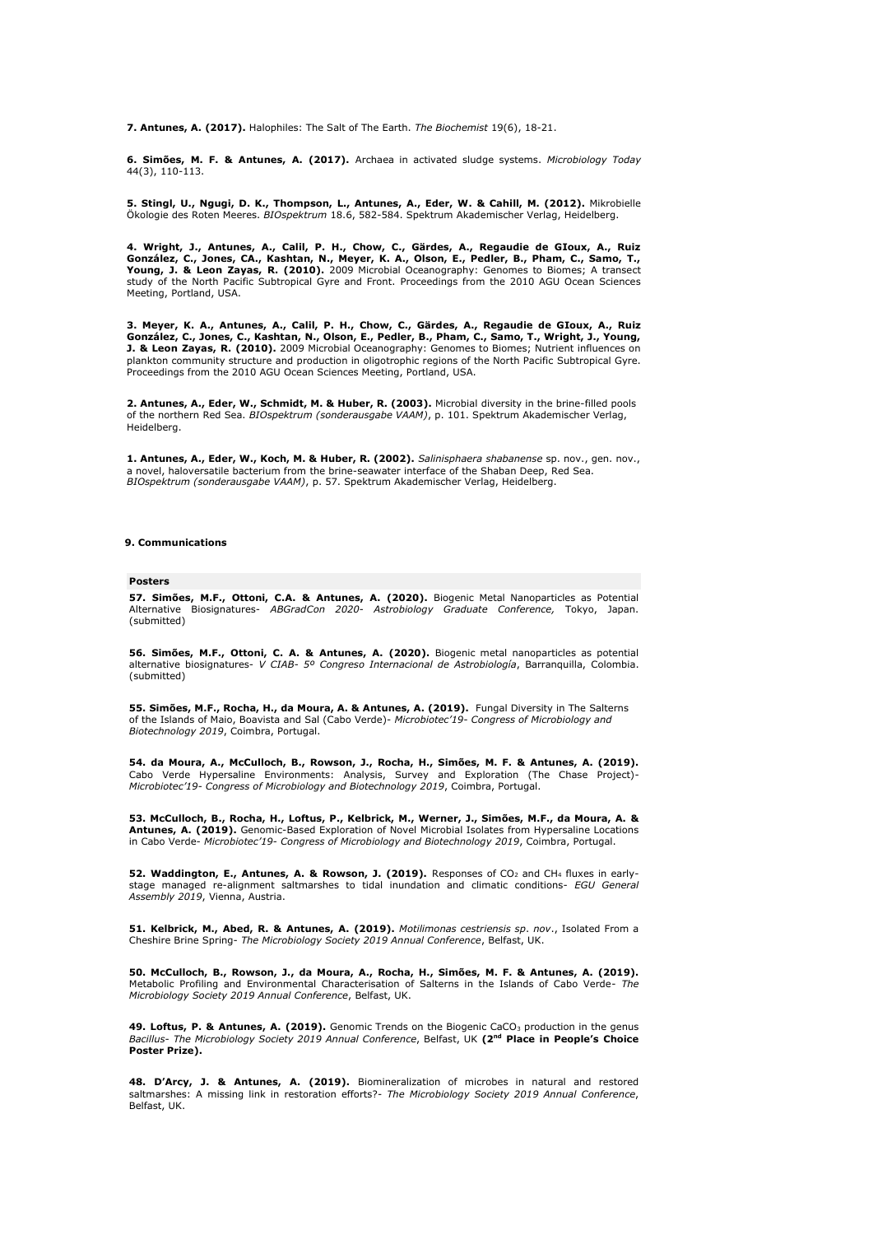**7. Antunes, A. (2017).** Halophiles: The Salt of The Earth. *The Biochemist* 19(6), 18-21.

**6. Simõ es, M. F. & Antunes, A. (2017).** Archaea in activated sludge systems. *Microbiology Today* 44(3), 110-113.

**5. Stingl, U., Ngugi, D. K., Thompson, L., Antunes, A., Eder, W. & Cahill, M. (2012).** Mikrobielle Ö kologie des Roten Meeres. *BIOspektrum* 18.6, 582-584. Spektrum Akademischer Verlag, Heidelberg.

**4. Wright, J., Antunes, A., Calil, P. H., Chow, C., Gä rdes, A., Regaudie de GIoux, A., Ruiz Gonzá lez, C., Jones, CA., Kashtan, N., Meyer, K. A., Olson, E., Pedler, B., Pham, C., Samo, T., Young, J. & Leon Zayas, R. (2010).** 2009 Microbial Oceanography: Genomes to Biomes; A transect study of the North Pacific Subtropical Gyre and Front. Proceedings from the 2010 AGU Ocean Sciences Meeting, Portland, USA.

**3. Meyer, K. A., Antunes, A., Calil, P. H., Chow, C., Gä rdes, A., Regaudie de GIoux, A., Ruiz González, C., Jones, C., Kashtan, N., Olson, E., Pedler, B., Pham, C., Samo, T., Wright, J., Young,<br>J. & Leon Zayas, R. (2010). 2009 Microbial Oceanography: Genomes to Biomes; Nutrient influences on** plankton community structure and production in oligotrophic regions of the North Pacific Subtropical Gyre. Proceedings from the 2010 AGU Ocean Sciences Meeting, Portland, USA.

**2. Antunes, A., Eder, W., Schmidt, M. & Huber, R. (2003).** Microbial diversity in the brine-filled pools of the northern Red Sea. *BIOspektrum (sonderausgabe VAAM)*, p. 101. Spektrum Akademischer Verlag, Heidelberg.

**1. Antunes, A., Eder, W., Koch, M. & Huber, R. (2002).** *Salinisphaera shabanense* sp. nov., gen. nov., a novel, haloversatile bacterium from the brine-seawater interface of the Shaban Deep, Red Sea. *BIOspektrum (sonderausgabe VAAM)*, p. 57. Spektrum Akademischer Verlag, Heidelberg.

#### **9. Communications**

#### **Posters**

**57. Simões, M.F., Ottoni, C.A. & Antunes, A. (2020).** Biogenic Metal Nanoparticles as Potential<br>Alternative Biosignatures- ABGradCon 2020- Astrobiology Graduate Conference, Tokyo, Japan. (submitted)

**56. Simões, M.F., Ottoni, C. A. & Antunes, A. (2020).** Biogenic metal nanoparticles as potential<br>alternative biosignatures- *V CIAB- 5º Congreso Internacional de Astrobiología,* Barranquilla, Colombia. (submitted)

**55. Simõ es, M.F., Rocha, H., da Moura, A. & Antunes, A. (2019).** Fungal Diversity in The Salterns of the Islands of Maio, Boavista and Sal (Cabo Verde)- *Microbiotec'19- Congress of Microbiology and Biotechnology 2019*, Coimbra, Portugal.

54. da Moura, A., McCulloch, B., Rowson, J., Rocha, H., Simões, M. F. & Antunes, A. (2019).<br>Cabo Verde Hypersaline Environments: Analysis, Survey and Exploration (The Chase Project)-<br>Microbiotec'19- Congress of Microbiolog

**53. McCulloch, B., Rocha, H., Loftus, P., Kelbrick, M., Werner, J., Simõ es, M.F., da Moura, A. & Antunes, A. (2019).** Genomic-Based Exploration of Novel Microbial Isolates from Hypersaline Locations in Cabo Verde- *Microbiotec'19- Congress of Microbiology and Biotechnology 2019*, Coimbra, Portugal.

**52. Waddington, E., Antunes, A. & Rowson, J. (2019).** Responses of CO<sub>2</sub> and CH<sub>4</sub> fluxes in earlystage managed re-alignment saltmarshes to tidal inundation and climatic conditions- *EGU General Assembly 2019*, Vienna, Austria.

**51. Kelbrick, M., Abed, R. & Antunes, A. (2019).** *Motilimonas cestriensis sp*. *nov*., Isolated From a Cheshire Brine Spring- *The Microbiology Society 2019 Annual Conference*, Belfast, UK.

50. McCulloch, B., Rowson, J., da Moura, A., Rocha, H., Simões, M. F. & Antunes, A. (2019). Metabolic Profiling and Environmental Characterisation of Salterns in the Islands of Cabo Verde- *The Microbiology Society 2019 Annual Conference*, Belfast, UK.

49. Loftus, P. & Antunes, A. (2019). Genomic Trends on the Biogenic CaCO<sub>3</sub> production in the genus *Bacillus*- *The Microbiology Society 2019 Annual Conference*, Belfast, UK **(2nd Place in People's Choice Poster Prize).**

**48. D'Arcy, J. & Antunes, A. (2019).** Biomineralization of microbes in natural and restored saltmarshes: A missing link in restoration efforts?- *The Microbiology Society 2019 Annual Conference*, Belfast, UK.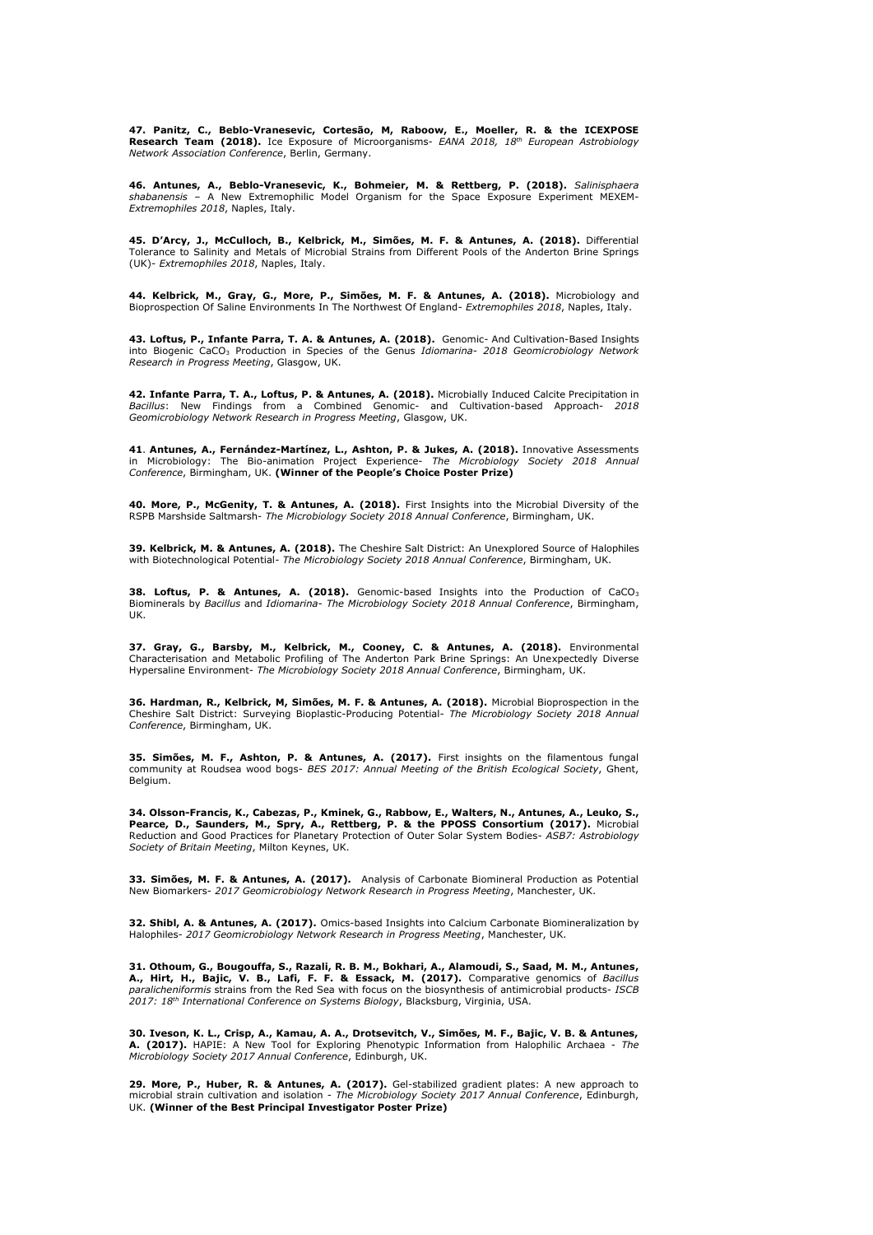**47. Panitz, C., Beblo-Vranesevic, Cortesão, M, Raboow, E., Moeller, R. & the ICEXPOSE<br>Research Team (2018). Ice Exposure of Microorganisms-** *EANA 2018, 18<sup>th</sup> European Astrobiology Network Association Conference*, Berlin, Germany.

**46. Antunes, A., Beblo-Vranesevic, K., Bohmeier, M. & Rettberg, P. (2018).** *Salinisphaera*<br>*shabanensis* – A New Extremophilic Model Organism for the Space Exposure Experiment MEXEM-*Extremophiles 2018*, Naples, Italy.

**45. D'Arcy, J., McCulloch, B., Kelbrick, M., Simões, M. F. & Antunes, A. (2018).** Differential Tolerance to Salinity and Metals of Microbial Strains from Different Pools of the Anderton Brine Springs (UK)- *Extremophiles 2018*, Naples, Italy.

44. Kelbrick, M., Gray, G., More, P., Simões, M. F. & Antunes, A. (2018). Microbiology and Bioprospection Of Saline Environments In The Northwest Of England- *Extremophiles 2018*, Naples, Italy.

43. Loftus, P., Infante Parra, T. A. & Antunes, A. (2018). Genomic- And Cultivation-Based Insights<br>into Biogenic CaCO<sub>3</sub> Production in Species of the Genus *Idiomarina- 2018 Geomicrobiology Network Research in Progress Meeting*, Glasgow, UK.

**42. Infante Parra, T. A., Loftus, P. & Antunes, A. (2018).** Microbially Induced Calcite Precipitation in *Bacillus*: New Findings from a Combined Genomic- and Cultivation-based Approach- *2018 Geomicrobiology Network Research in Progress Meeting*, Glasgow, UK.

**41. Antunes, A., Fernández-Martínez, L., Ashton, P. & Jukes, A. (2018).** Innovative Assessments<br>in Microbiology: The Bio-animation Project Experience- *The Microbiology Society 2018 Annual Conference*, Birmingham, UK. **(Winner of the People's Choice Poster Prize)**

**40. More, P., McGenity, T. & Antunes, A. (2018).** First Insights into the Microbial Diversity of the RSPB Marshside Saltmarsh- *The Microbiology Society 2018 Annual Conference*, Birmingham, UK.

**39. Kelbrick, M. & Antunes, A. (2018).** The Cheshire Salt District: An Unexplored Source of Halophiles with Biotechnological Potential- *The Microbiology Society 2018 Annual Conference*, Birmingham, UK.

**38. Loftus, P. & Antunes, A. (2018).** Genomic-based Insights into the Production of CaCO<sup>3</sup> Biominerals by *Bacillus* and *Idiomarina*- *The Microbiology Society 2018 Annual Conference*, Birmingham, UK.

**37. Gray, G., Barsby, M., Kelbrick, M., Cooney, C. & Antunes, A. (2018).** Environmental Characterisation and Metabolic Profiling of The Anderton Park Brine Springs: An Unexpectedly Diverse Hypersaline Environment- *The Microbiology Society 2018 Annual Conference*, Birmingham, UK.

**36. Hardman, R., Kelbrick, M, Simões, M. F. & Antunes, A. (2018).** Microbial Bioprospection in the **Chestian Intential Contential Contential**<br>Cheshire Salt District: Surveying Bioplastic-Producing Potential- *The Microbio Conference*, Birmingham, UK.

35. Simões, M. F., Ashton, P. & Antunes, A. (2017). First insights on the filamentous fungal community at Roudsea wood bogs- *BES 2017: Annual Meeting of the British Ecological Society*, Ghent, Belgium.

**34. Olsson-Francis, K., Cabezas, P., Kminek, G., Rabbow, E., Walters, N., Antunes, A., Leuko, S., Pearce, D., Saunders, M., Spry, A., Rettberg, P. & the PPOSS Consortium (2017).** Microbial Reduction and Good Practices for Planetary Protection of Outer Solar System Bodies- *ASB7: Astrobiology Society of Britain Meeting*, Milton Keynes, UK.

**33. Simões, M. F. & Antunes, A. (2017).** Analysis of Carbonate Biomineral Production as Potential<br>New Biomarkers- 2017 Geomicrobiology Network Research in Progress Meeting, Manchester, UK.

**32. Shibl, A. & Antunes, A. (2017).** Omics-based Insights into Calcium Carbonate Biomineralization by Halophiles- *2017 Geomicrobiology Network Research in Progress Meeting*, Manchester, UK.

**31. Othoum, G., Bougouffa, S., Razali, R. B. M., Bokhari, A., Alamoudi, S., Saad, M. M., Antunes,**  A., Hirt, H., Bajic, V. B., Lafi, F. F. & Essack, M. (2017). Comparative genomics of *Bacillus*<br>paralicheniformis strains from the Red Sea with focus on the biosynthesis of antimicrobial products- ISCB *2017: 18th International Conference on Systems Biology*, Blacksburg, Virginia, USA.

**30. Iveson, K. L., Crisp, A., Kamau, A. A., Drotsevitch, V., Simões, M. F., Bajic, V. B. & Antunes, <br>A. (2017). HAPIE: A New Tool for Exploring Phenotypic Information from Halophilic Archaea -** *The Microbiology Society 2017 Annual Conference*, Edinburgh, UK.

**29. More, P., Huber, R. & Antunes, A. (2017).** Gel-stabilized gradient plates: A new approach to microbial strain cultivation and isolation - *The Microbiology Society 2017 Annual Conference*, Edinburgh, UK. **(Winner of the Best Principal Investigator Poster Prize)**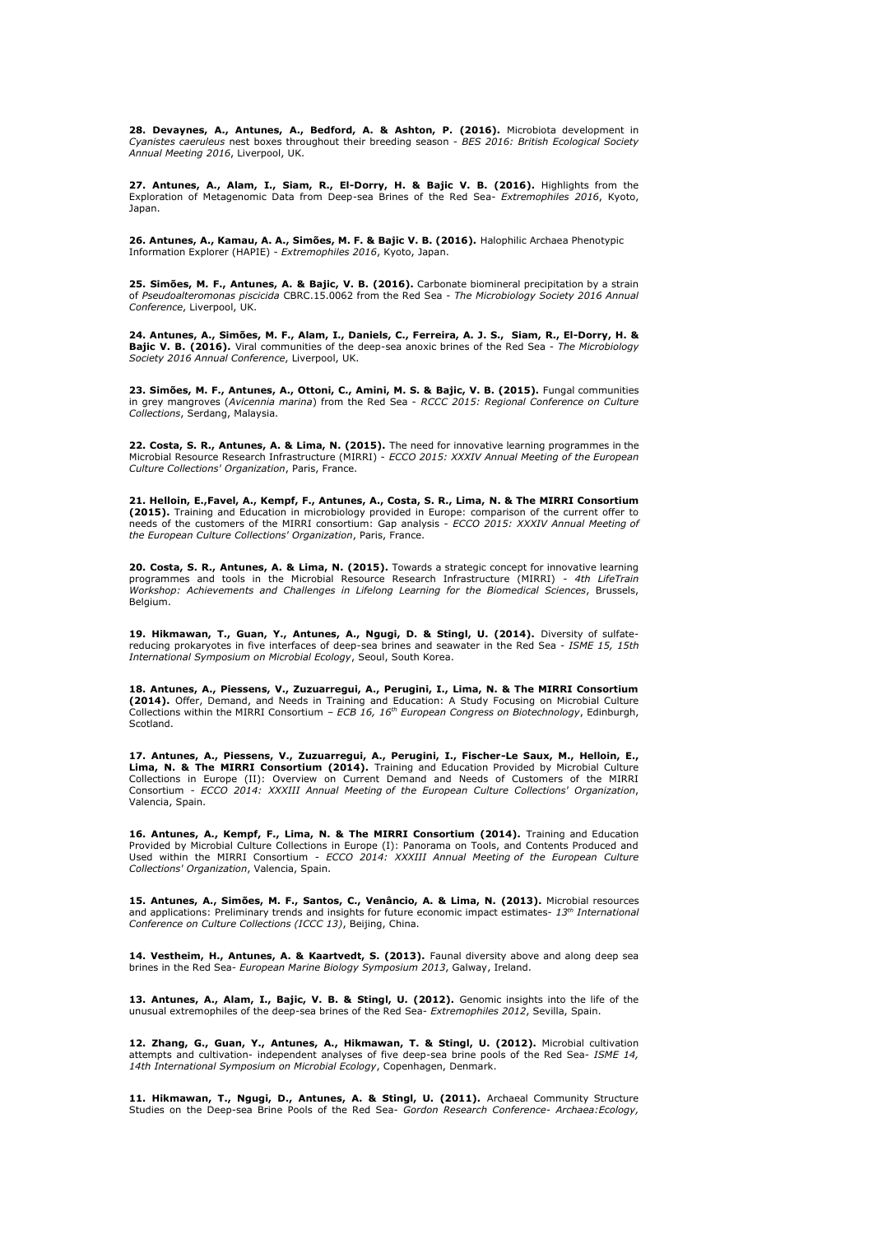**28. Devaynes, A., Antunes, A., Bedford, A. & Ashton, P. (2016).** Microbiota development in *Cyanistes caeruleus* nest boxes throughout their breeding season - *BES 2016: British Ecological Society Annual Meeting 2016*, Liverpool, UK.

**27. Antunes, A., Alam, I., Siam, R., El-Dorry, H. & Bajic V. B. (2016).** Highlights from the Exploration of Metagenomic Data from Deep-sea Brines of the Red Sea- *Extremophiles 2016*, Kyoto, Japan.

26. Antunes, A., Kamau, A. A., Simões, M. F. & Bajic V. B. (2016). Halophilic Archaea Phenotypic Information Explorer (HAPIE) - *Extremophiles 2016*, Kyoto, Japan.

**25. Simõ es, M. F., Antunes, A. & Bajic, V. B. (2016).** Carbonate biomineral precipitation by a strain of *Pseudoalteromonas piscicida* CBRC.15.0062 from the Red Sea - *The Microbiology Society 2016 Annual Conference*, Liverpool, UK.

24. Antunes, A., Simões, M. F., Alam, I., Daniels, C., Ferreira, A. J. S., Siam, R., El-Dorry, H. &<br>Bajic V. B. (2016). Viral communities of the deep-sea anoxic brines of the Red Sea - The Microbiology *Society 2016 Annual Conference*, Liverpool, UK.

**23. Simõ es, M. F., Antunes, A., Ottoni, C., Amini, M. S. & Bajic, V. B. (2015).** Fungal communities in grey mangroves (*Avicennia marina*) from the Red Sea - *RCCC 2015: Regional Conference on Culture Collections*, Serdang, Malaysia.

**22. Costa, S. R., Antunes, A. & Lima, N. (2015).** The need for innovative learning programmes in the Microbial Resource Research Infrastructure (MIRRI) - *ECCO 2015: XXXIV Annual Meeting of the European Culture Collections' Organization*, Paris, France.

**21. Helloin, E.,Favel, A., Kempf, F., Antunes, A., Costa, S. R., Lima, N. & The MIRRI Consortium (2015).** Training and Education in microbiology provided in Europe: comparison of the current offer to needs of the customers of the MIRRI consortium: Gap analysis - *ECCO 2015: XXXIV Annual Meeting of the European Culture Collections' Organization*, Paris, France.

**20. Costa, S. R., Antunes, A. & Lima, N. (2015).** Towards a strategic concept for innovative learning programmes and tools in the Microbial Resource Research Infrastructure (MIRRI) - *4th LifeTrain Workshop: Achievements and Challenges in Lifelong Learning for the Biomedical Sciences*, Brussels, Belgium.

**19. Hikmawan, T., Guan, Y., Antunes, A., Ngugi, D. & Stingl, U. (2014).** Diversity of sulfatereducing prokaryotes in five interfaces of deep-sea brines and seawater in the Red Sea - *ISME 15, 15th International Symposium on Microbial Ecology*, Seoul, South Korea.

**18. Antunes, A., Piessens, V., Zuzuarregui, A., Perugini, I., Lima, N. & The MIRRI Consortium (2014).** Offer, Demand, and Needs in Training and Education: A Study Focusing on Microbial Culture Collections within the MIRRI Consortium – *ECB 16, 16th European Congress on Biotechnology*, Edinburgh, Scotland.

17. Antunes, A., Piessens, V., Zuzuarregui, A., Perugini, I., Fischer-Le Saux, M., Helloin, E.,<br>Lima, N. & The MIRRI Consortium (2014). Training and Education Provided by Microbial Culture Collections in Europe (II): Overview on Current Demand and Needs of Customers of the MIRRI Consortium - *ECCO 2014: XXXIII Annual Meeting of the European Culture Collections' Organization*, Valencia, Spain.

**16. Antunes, A., Kempf, F., Lima, N. & The MIRRI Consortium (2014).** Training and Education<br>Provided by Microbial Culture Collections in Europe (I): Panorama on Tools, and Contents Produced and<br>Used within the MIRRI Conso *Collections' Organization*, Valencia, Spain.

15. Antunes, A., Simões, M. F., Santos, C., Venâncio, A. & Lima, N. (2013). Microbial resources and applications: Preliminary trends and insights for future economic impact estimates- *13th International Conference on Culture Collections (ICCC 13)*, Beijing, China.

**14. Vestheim, H., Antunes, A. & Kaartvedt, S. (2013).** Faunal diversity above and along deep sea brines in the Red Sea- *European Marine Biology Symposium 2013*, Galway, Ireland.

**13. Antunes, A., Alam, I., Bajic, V. B. & Stingl, U. (2012).** Genomic insights into the life of the unusual extremophiles of the deep-sea brines of the Red Sea- *Extremophiles 2012*, Sevilla, Spain.

**12. Zhang, G., Guan, Y., Antunes, A., Hikmawan, T. & Stingl, U. (2012).** Microbial cultivation attempts and cultivation- independent analyses of five deep-sea brine pools of the Red Sea- *ISME 14, 14th International Symposium on Microbial Ecology*, Copenhagen, Denmark.

**11. Hikmawan, T., Ngugi, D., Antunes, A. & Stingl, U. (2011).** Archaeal Community Structure Studies on the Deep-sea Brine Pools of the Red Sea- *Gordon Research Conference- Archaea:Ecology,*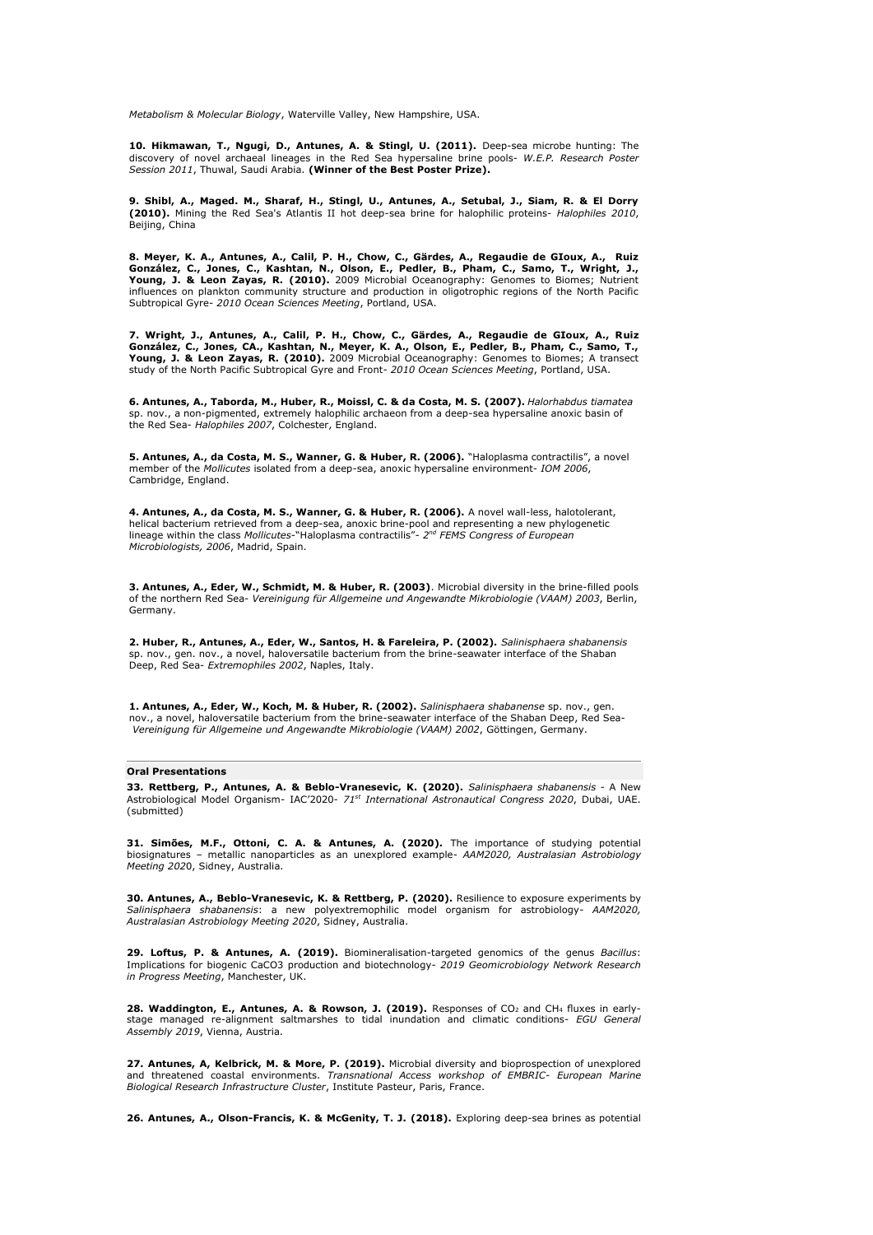*Metabolism & Molecular Biology*, Waterville Valley, New Hampshire, USA.

**10. Hikmawan, T., Ngugi, D., Antunes, A. & Stingl, U. (2011).** Deep-sea microbe hunting: The discovery of novel archaeal lineages in the Red Sea hypersaline brine pools- *W.E.P. Research Poster Session 2011*, Thuwal, Saudi Arabia. **(Winner of the Best Poster Prize).**

**9. Shibl, A., Maged. M., Sharaf, H., Stingl, U., Antunes, A., Setubal, J., Siam, R. & El Dorry<br>(2010).** Mining the Red Sea's Atlantis II hot deep-sea brine for halophilic proteins- *Halophiles 2010*,<br>Beijing, China

8. Meyer, K. A., Antunes, A., Calil, P. H., Chow, C., Gärdes, A., Regaudie de GIoux, A., Ruiz<br>González, C., Jones, C., Kashtan, N., Olson, E., Pedler, B., Pham, C., Samo, T., Wright, J., **Young, J. & Leon Zayas, R. (2010).** 2009 Microbial Oceanography: Genomes to Biomes; Nutrient influences on plankton community structure and production in oligotrophic regions of the North Pacific Subtropical Gyre- *2010 Ocean Sciences Meeting*, Portland, USA.

7. Wright, J., Antunes, A., Calil, P. H., Chow, C., Gärdes, A., Regaudie de GIoux, A., Ruiz<br>González, C., Jones, CA., Kashtan, N., Meyer, K. A., Olson, E., Pedler, B., Pham, C., Samo, T., **Young, J. & Leon Zayas, R. (2010).** 2009 Microbial Oceanography: Genomes to Biomes; A transect study of the North Pacific Subtropical Gyre and Front- *2010 Ocean Sciences Meeting*, Portland, USA.

**6. Antunes, A., Taborda, M., Huber, R., Moissl, C. & da Costa, M. S. (2007).** *Halorhabdus tiamatea* sp. nov., a non-pigmented, extremely halophilic archaeon from a deep-sea hypersaline anoxic basin of the Red Sea- *Halophiles 2007*, Colchester, England.

**5. Antunes, A., da Costa, M. S., Wanner, G. & Huber, R. (2006).** "Haloplasma contractilis", a novel member of the *Mollicutes* isolated from a deep-sea, anoxic hypersaline environment- *IOM 2006*, Cambridge, England.

**4. Antunes, A., da Costa, M. S., Wanner, G. & Huber, R. (2006).** A novel wall-less, halotolerant, helical bacterium retrieved from a deep-sea, anoxic brine-pool and representing a new phylogenetic lineage within the class *Mollicutes*-"Haloplasma contractilis"- *2 nd FEMS Congress of European Microbiologists, 2006*, Madrid, Spain.

**3. Antunes, A., Eder, W., Schmidt, M. & Huber, R. (2003)**. Microbial diversity in the brine-filled pools of the northern Red Sea- *Vereinigung fü r Allgemeine und Angewandte Mikrobiologie (VAAM) 2003*, Berlin, Germany.

**2. Huber, R., Antunes, A., Eder, W., Santos, H. & Fareleira, P. (2002).** *Salinisphaera shabanensis* sp. nov., gen. nov., a novel, haloversatile bacterium from the brine-seawater interface of the Shaban Deep, Red Sea- *Extremophiles 2002*, Naples, Italy.

**1. Antunes, A., Eder, W., Koch, M. & Huber, R. (2002).** *Salinisphaera shabanense* sp. nov., gen. nov., a novel, haloversatile bacterium from the brine-seawater interface of the Shaban Deep, Red Sea-*Vereinigung fü r Allgemeine und Angewandte Mikrobiologie (VAAM) 2002*, Gö ttingen, Germany.

#### **Oral Presentations**

**33. Rettberg, P., Antunes, A. & Beblo-Vranesevic, K. (2020).** *Salinisphaera shabanensis* - A New Astrobiological Model Organism- IAC'2020- *71st International Astronautical Congress 2020*, Dubai, UAE. (submitted)

**31. Simõ es, M.F., Ottoni, C. A. & Antunes, A. (2020).** The importance of studying potential biosignatures – metallic nanoparticles as an unexplored example- *AAM2020, Australasian Astrobiology Meeting 202*0, Sidney, Australia.

30. Antunes, A., Beblo-Vranesevic, K. & Rettberg, P. (2020). Resilience to exposure experiments by<br>Salinisphaera shabanensis: a new polyextremophilic model organism for astrobiology- AAM2020, *Australasian Astrobiology Meeting 2020*, Sidney, Australia.

29. Loftus, P. & Antunes, A. (2019). Biomineralisation-targeted genomics of the genus Bacillus:<br>Implications for biogenic CaCO3 production and biotechnology- 2019 Geomicrobiology Network Research *in Progress Meeting*, Manchester, UK.

28. Waddington, E., Antunes, A. & Rowson, J. (2019). Responses of CO<sub>2</sub> and CH<sub>4</sub> fluxes in earlystage managed re-alignment saltmarshes to tidal inundation and climatic conditions- *EGU General Assembly 2019*, Vienna, Austria.

**27. Antunes, A, Kelbrick, M. & More, P. (2019).** Microbial diversity and bioprospection of unexplored and threatened coastal environments. *Transnational Access workshop of EMBRIC- European Marine Biological Research Infrastructure Cluster*, Institute Pasteur, Paris, France.

**26. Antunes, A., Olson-Francis, K. & McGenity, T. J. (2018).** Exploring deep-sea brines as potential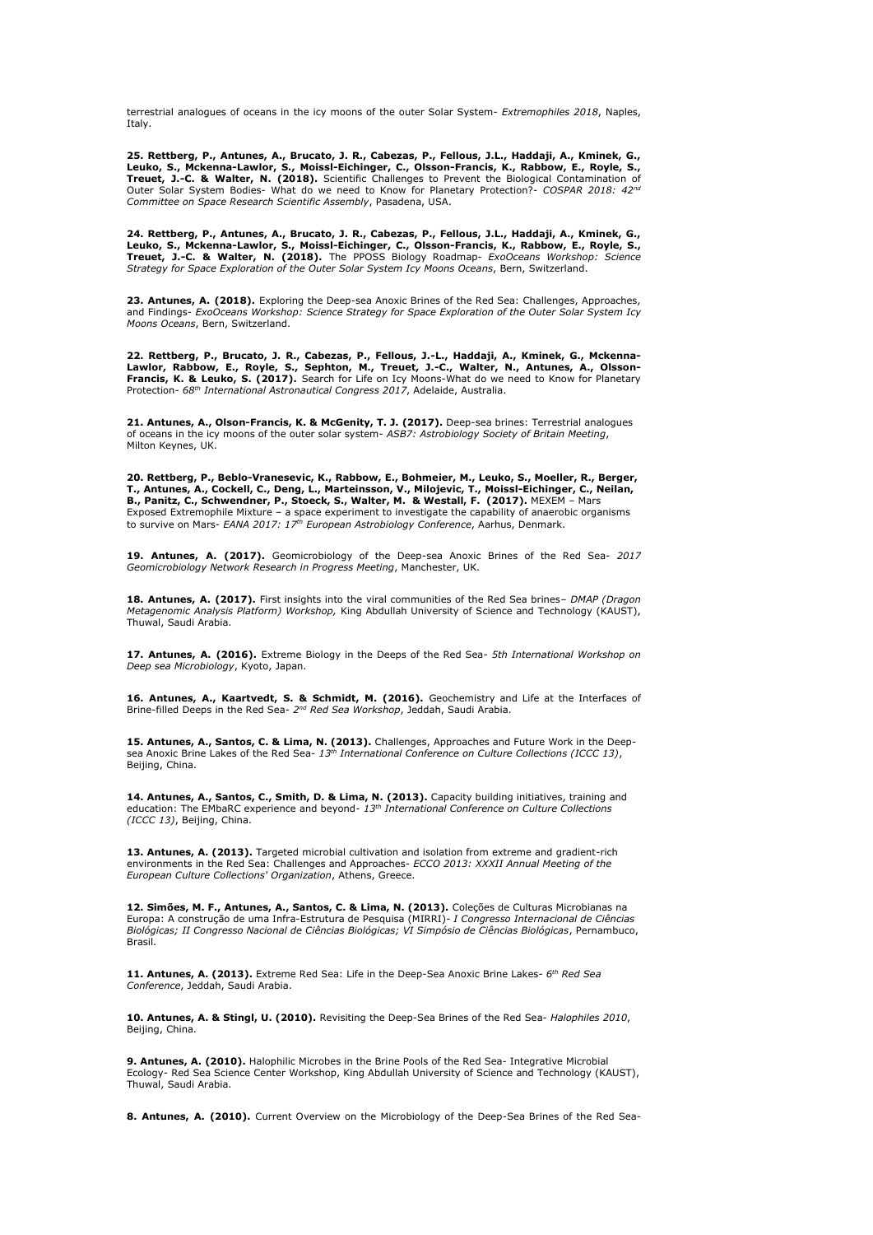terrestrial analogues of oceans in the icy moons of the outer Solar System- *Extremophiles 2018*, Naples, Italy.

25. Rettberg, P., Antunes, A., Brucato, J. R., Cabezas, P., Fellous, J.L., Haddaji, A., Kminek, G.,<br>Leuko, S., Mckenna-Lawlor, S., Moissl-Eichinger, C., Olsson-Francis, K., Rabbow, E., Royle, S., **Treuet, J.-C. & Walter, N. (2018).** Scientific Challenges to Prevent the Biological Contamination of Outer Solar System Bodies- What do we need to Know for Planetary Protection?- *COSPAR 2018: 42nd Committee on Space Research Scientific Assembly*, Pasadena, USA.

**24. Rettberg, P., Antunes, A., Brucato, J. R., Cabezas, P., Fellous, J.L., Haddaji, A., Kminek, G.,**  Leuko, S., Mckenna-Lawlor, S., Moissl-Eichinger, C., Olsson-Francis, K., Rabbow, E., Royle, S.,<br>Treuet, J.-C. & Walter, N. (2018). The PPOSS Biology Roadmap- *ExoOceans Workshop: Science*<br>*Strategy for Space Exploration of* 

**23. Antunes, A. (2018).** Exploring the Deep-sea Anoxic Brines of the Red Sea: Challenges, Approaches, and Findings- *ExoOceans Workshop: Science Strategy for Space Exploration of the Outer Solar System Icy Moons Oceans*, Bern, Switzerland.

22. Rettberg, P., Brucato, J. R., Cabezas, P., Fellous, J.-L., Haddaji, A., Kminek, G., Mckenna-<br>Lawlor, Rabbow, E., Royle, S., Sephton, M., Treuet, J.-C., Walter, N., Antunes, A., Olsson-<br>Francis, K. & Leuko, S. (2017). S

**21. Antunes, A., Olson-Francis, K. & McGenity, T. J. (2017).** Deep-sea brines: Terrestrial analogues of oceans in the icy moons of the outer solar system- *ASB7: Astrobiology Society of Britain Meeting*, Milton Keynes, UK.

20. Rettberg, P., Beblo-Vranesevic, K., Rabbow, E., Bohmeier, M., Leuko, S., Moeller, R., Berger,<br>T., Antunes, A., Cockell, C., Deng, L., Marteinsson, V., Milojevic, T., Moissl-Eichinger, C., Neilan, **B., Panitz, C., Schwendner, P., Stoeck, S., Walter, M. & Westall, F. (2017).** MEXEM – Mars Exposed Extremophile Mixture – a space experiment to investigate the capability of anaerobic organisms to survive on Mars- *EANA 2017: 17th European Astrobiology Conference*, Aarhus, Denmark.

**19. Antunes, A. (2017).** Geomicrobiology of the Deep-sea Anoxic Brines of the Red Sea- *2017 Geomicrobiology Network Research in Progress Meeting*, Manchester, UK.

**18. Antunes, A. (2017).** First insights into the viral communities of the Red Sea brines– *DMAP (Dragon Metagenomic Analysis Platform) Workshop,* King Abdullah University of Science and Technology (KAUST), Thuwal, Saudi Arabia.

**17. Antunes, A. (2016).** Extreme Biology in the Deeps of the Red Sea- *5th International Workshop on Deep sea Microbiology*, Kyoto, Japan.

16. Antunes, A., Kaartvedt, S. & Schmidt, M. (2016). Geochemistry and Life at the Interfaces of Brine-filled Deeps in the Red Sea- 2<sup>nd</sup> Red Sea Workshop, Jeddah, Saudi Arabia.

**15. Antunes, A., Santos, C. & Lima, N. (2013).** Challenges, Approaches and Future Work in the Deepsea Anoxic Brine Lakes of the Red Sea- *13th International Conference on Culture Collections (ICCC 13)*, Beijing, China.

**14. Antunes, A., Santos, C., Smith, D. & Lima, N. (2013).** Capacity building initiatives, training and education: The EMbaRC experience and beyond- *13th International Conference on Culture Collections (ICCC 13)*, Beijing, China.

**13. Antunes, A. (2013).** Targeted microbial cultivation and isolation from extreme and gradient-rich environments in the Red Sea: Challenges and Approaches- *ECCO 2013: XXXII Annual Meeting of the European Culture Collections' Organization*, Athens, Greece.

12. Simões, M. F., Antunes, A., Santos, C. & Lima, N. (2013). Coleções de Culturas Microbianas na Europa: A construção de uma Infra-Estrutura de Pesquisa (MIRRI)- *I Congresso Internacional de Ciências Biológicas; II Congresso Nacional de Ciências Biológicas; VI Simpó sio de Ciências Biológicas*, Pernambuco, Brasil.

**11. Antunes, A. (2013).** Extreme Red Sea: Life in the Deep-Sea Anoxic Brine Lakes- *6 th Red Sea Conference*, Jeddah, Saudi Arabia.

**10. Antunes, A. & Stingl, U. (2010).** Revisiting the Deep-Sea Brines of the Red Sea- *Halophiles 2010*, Beijing, China.

**9. Antunes, A. (2010).** Halophilic Microbes in the Brine Pools of the Red Sea- Integrative Microbial Ecology- Red Sea Science Center Workshop, King Abdullah University of Science and Technology (KAUST), Thuwal, Saudi Arabia.

**8. Antunes, A. (2010).** Current Overview on the Microbiology of the Deep-Sea Brines of the Red Sea-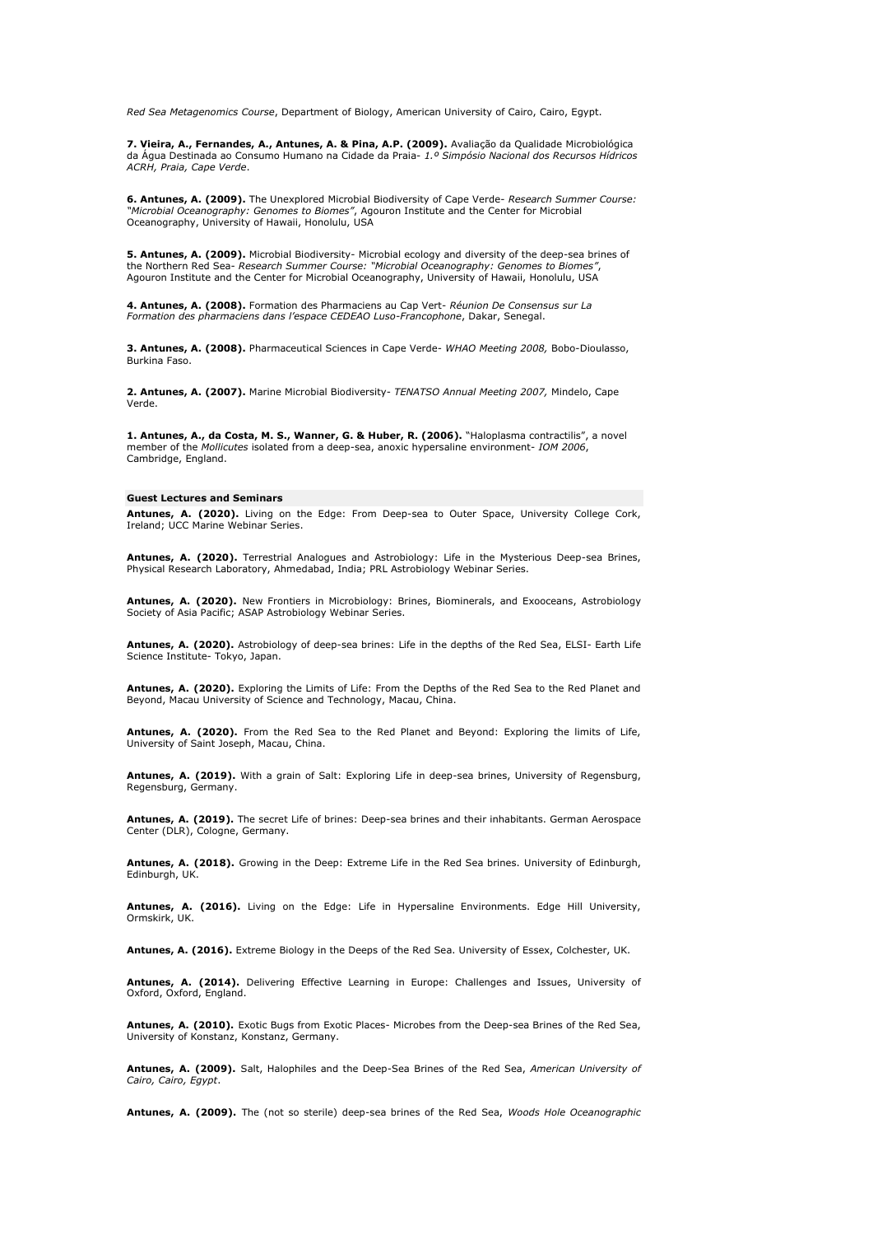*Red Sea Metagenomics Course*, Department of Biology, American University of Cairo, Cairo, Egypt.

**7. Vieira, A., Fernandes, A., Antunes, A. & Pina, A.P. (2009).** Avaliação da Qualidade Microbiológica da Á gua Destinada ao Consumo Humano na Cidade da Praia- *1.º Simpó sio Nacional dos Recursos Hídricos ACRH, Praia, Cape Verde*.

**6. Antunes, A. (2009).** The Unexplored Microbial Biodiversity of Cape Verde- *Research Summer Course: "Microbial Oceanography: Genomes to Biomes"*, Agouron Institute and the Center for Microbial Oceanography, University of Hawaii, Honolulu, USA

**5. Antunes, A. (2009).** Microbial Biodiversity- Microbial ecology and diversity of the deep-sea brines of the Northern Red Sea- *Research Summer Course: "Microbial Oceanography: Genomes to Biomes"*, Agouron Institute and the Center for Microbial Oceanography, University of Hawaii, Honolulu, USA

**4. Antunes, A. (2008).** Formation des Pharmaciens au Cap Vert- *Réunion De Consensus sur La Formation des pharmaciens dans l'espace CEDEAO Luso-Francophone*, Dakar, Senegal.

**3. Antunes, A. (2008).** Pharmaceutical Sciences in Cape Verde- *WHAO Meeting 2008,* Bobo-Dioulasso, Burkina Faso.

**2. Antunes, A. (2007).** Marine Microbial Biodiversity- *TENATSO Annual Meeting 2007,* Mindelo, Cape Verde.

**1. Antunes, A., da Costa, M. S., Wanner, G. & Huber, R. (2006).** "Haloplasma contractilis", a novel member of the *Mollicutes* isolated from a deep-sea, anoxic hypersaline environment- *IOM 2006*, Cambridge, England.

#### **Guest Lectures and Seminars**

**Antunes, A. (2020).** Living on the Edge: From Deep-sea to Outer Space, University College Cork, Ireland; UCC Marine Webinar Series.

**Antunes, A. (2020).** Terrestrial Analogues and Astrobiology: Life in the Mysterious Deep-sea Brines, Physical Research Laboratory, Ahmedabad, India; PRL Astrobiology Webinar Series.

**Antunes, A. (2020).** New Frontiers in Microbiology: Brines, Biominerals, and Exooceans, Astrobiology Society of Asia Pacific; ASAP Astrobiology Webinar Series.

**Antunes, A. (2020).** Astrobiology of deep-sea brines: Life in the depths of the Red Sea, ELSI- Earth Life Science Institute- Tokyo, Japan.

**Antunes, A. (2020).** Exploring the Limits of Life: From the Depths of the Red Sea to the Red Planet and Beyond, Macau University of Science and Technology, Macau, China.

**Antunes, A. (2020).** From the Red Sea to the Red Planet and Beyond: Exploring the limits of Life, University of Saint Joseph, Macau, China.

**Antunes, A. (2019).** With a grain of Salt: Exploring Life in deep-sea brines, University of Regensburg, Regensburg, Germany.

**Antunes, A. (2019).** The secret Life of brines: Deep-sea brines and their inhabitants. German Aerospace Center (DLR), Cologne, Germany.

**Antunes, A. (2018).** Growing in the Deep: Extreme Life in the Red Sea brines. University of Edinburgh, Edinburgh, UK.

**Antunes, A. (2016).** Living on the Edge: Life in Hypersaline Environments. Edge Hill University, Ormskirk, UK.

**Antunes, A. (2016).** Extreme Biology in the Deeps of the Red Sea. University of Essex, Colchester, UK.

**Antunes, A. (2014).** Delivering Effective Learning in Europe: Challenges and Issues, University of Oxford, Oxford, England.

**Antunes, A. (2010).** Exotic Bugs from Exotic Places- Microbes from the Deep-sea Brines of the Red Sea, University of Konstanz, Konstanz, Germany.

**Antunes, A. (2009).** Salt, Halophiles and the Deep-Sea Brines of the Red Sea, *American University of Cairo, Cairo, Egypt*.

**Antunes, A. (2009).** The (not so sterile) deep-sea brines of the Red Sea, *Woods Hole Oceanographic*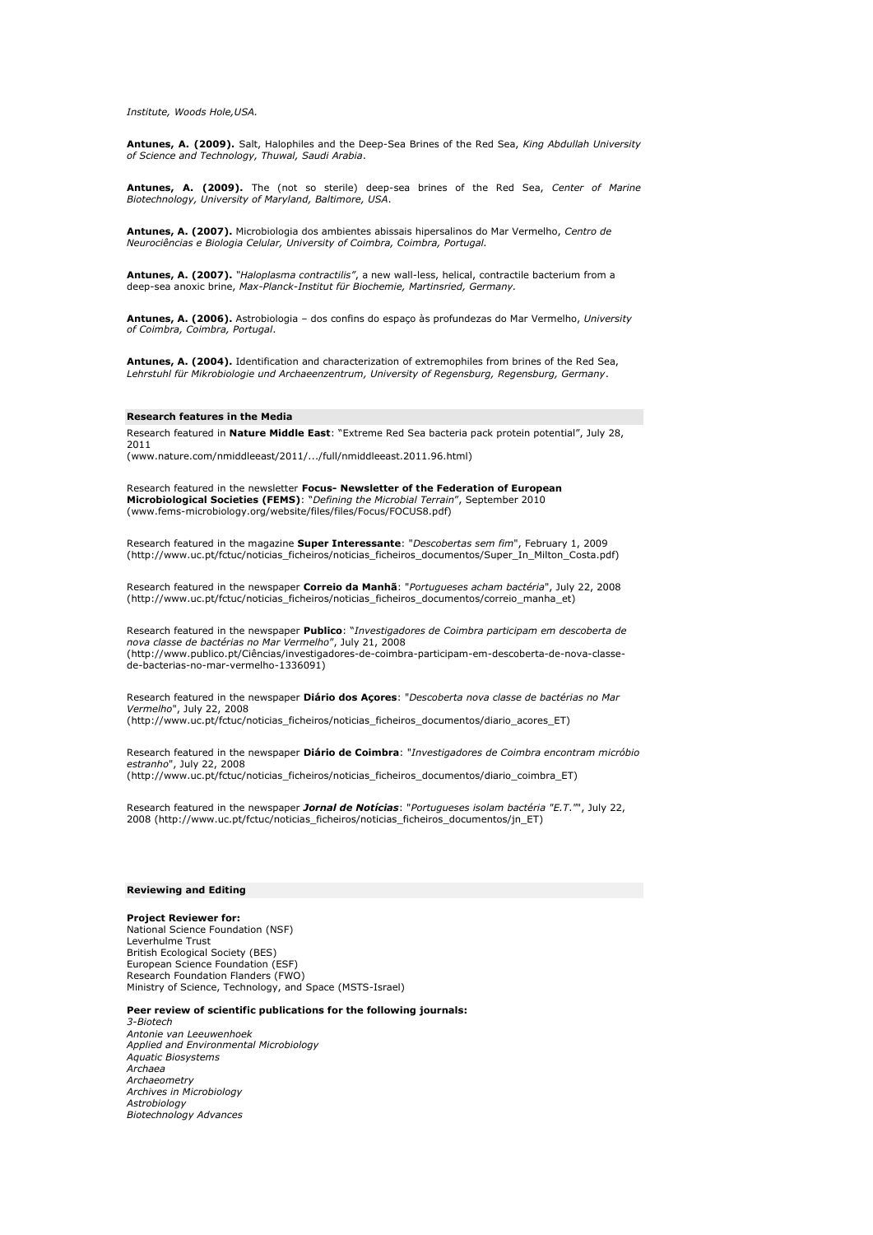*Institute, Woods Hole,USA.*

**Antunes, A. (2009).** Salt, Halophiles and the Deep-Sea Brines of the Red Sea, *King Abdullah University of Science and Technology, Thuwal, Saudi Arabia*.

**Antunes, A. (2009).** The (not so sterile) deep-sea brines of the Red Sea, *Center of Marine Biotechnology, University of Maryland, Baltimore, USA*.

**Antunes, A. (2007).** Microbiologia dos ambientes abissais hipersalinos do Mar Vermelho, *Centro de Neurociências e Biologia Celular, University of Coimbra, Coimbra, Portugal.*

**Antunes, A. (2007).** *"Haloplasma contractilis"*, a new wall-less, helical, contractile bacterium from a deep-sea anoxic brine, Max-Planck-Institut für Biochemie, Martinsried, Germany.

**Antunes, A. (2006).** Astrobiologia – dos confins do espaço à s profundezas do Mar Vermelho, *University of Coimbra, Coimbra, Portugal*.

**Antunes, A. (2004).** Identification and characterization of extremophiles from brines of the Red Sea, Lehrstuhl für Mikrobiologie und Archaeenzentrum, University of Regensburg, Regensburg, Germany.

## **Research features in the Media**

Research featured in **Nature Middle East**: "Extreme Red Sea bacteria pack protein potential", July 28, 2011

(www.nature.com/nmiddleeast/2011/.../full/nmiddleeast.2011.96.html)

Research featured in the newsletter **Focus- Newsletter of the Federation of European Microbiological Societies (FEMS)**: "*Defining the Microbial Terrain*", September 2010 (www.fems-microbiology.org/website/files/files/Focus/FOCUS8.pdf)

Research featured in the magazine **Super Interessante**: "*Descobertas sem fim*", February 1, 2009 (http://www.uc.pt/fctuc/noticias\_ficheiros/noticias\_ficheiros\_documentos/Super\_In\_Milton\_Costa.pdf)

Research featured in the newspaper **Correio da Manhã** : "*Portugueses acham bactéria*", July 22, 2008 (http://www.uc.pt/fctuc/noticias\_ficheiros/noticias\_ficheiros\_documentos/correio\_manha\_et)

Research featured in the newspaper **Publico**: "*Investigadores de Coimbra participam em descoberta de nova classe de bactérias no Mar Vermelho*", July 21, 2008 (http://www.publico.pt/Ciências/investigadores-de-coimbra-participam-em-descoberta-de-nova-classede-bacterias-no-mar-vermelho-1336091)

Research featured in the newspaper **Diá rio dos Açores**: "*Descoberta nova classe de bactérias no Mar Vermelho*", July 22, 2008 (http://www.uc.pt/fctuc/noticias\_ficheiros/noticias\_ficheiros\_documentos/diario\_acores\_ET)

Research featured in the newspaper **Diá rio de Coimbra**: "*Investigadores de Coimbra encontram micróbio estranho*", July 22, 2008

(http://www.uc.pt/fctuc/noticias\_ficheiros/noticias\_ficheiros\_documentos/diario\_coimbra\_ET)

Research featured in the newspaper *Jornal de Notícias*: "*Portugueses isolam bactéria "E.T*.*"*", July 22, 2008 (http://www.uc.pt/fctuc/noticias\_ficheiros/noticias\_ficheiros\_documentos/jn\_ET)

## **Reviewing and Editing**

**Project Reviewer for:** National Science Foundation (NSF) Leverhulme Trust British Ecological Society (BES) European Science Foundation (ESF) Research Foundation Flanders (FWO) Ministry of Science, Technology, and Space (MSTS-Israel)

#### **Peer review of scientific publications for the following journals:**

*3-Biotech Antonie van Leeuwenhoek Applied and Environmental Microbiology Aquatic Biosystems Archaea Archaeometry Archives in Microbiology Astrobiology Biotechnology Advances*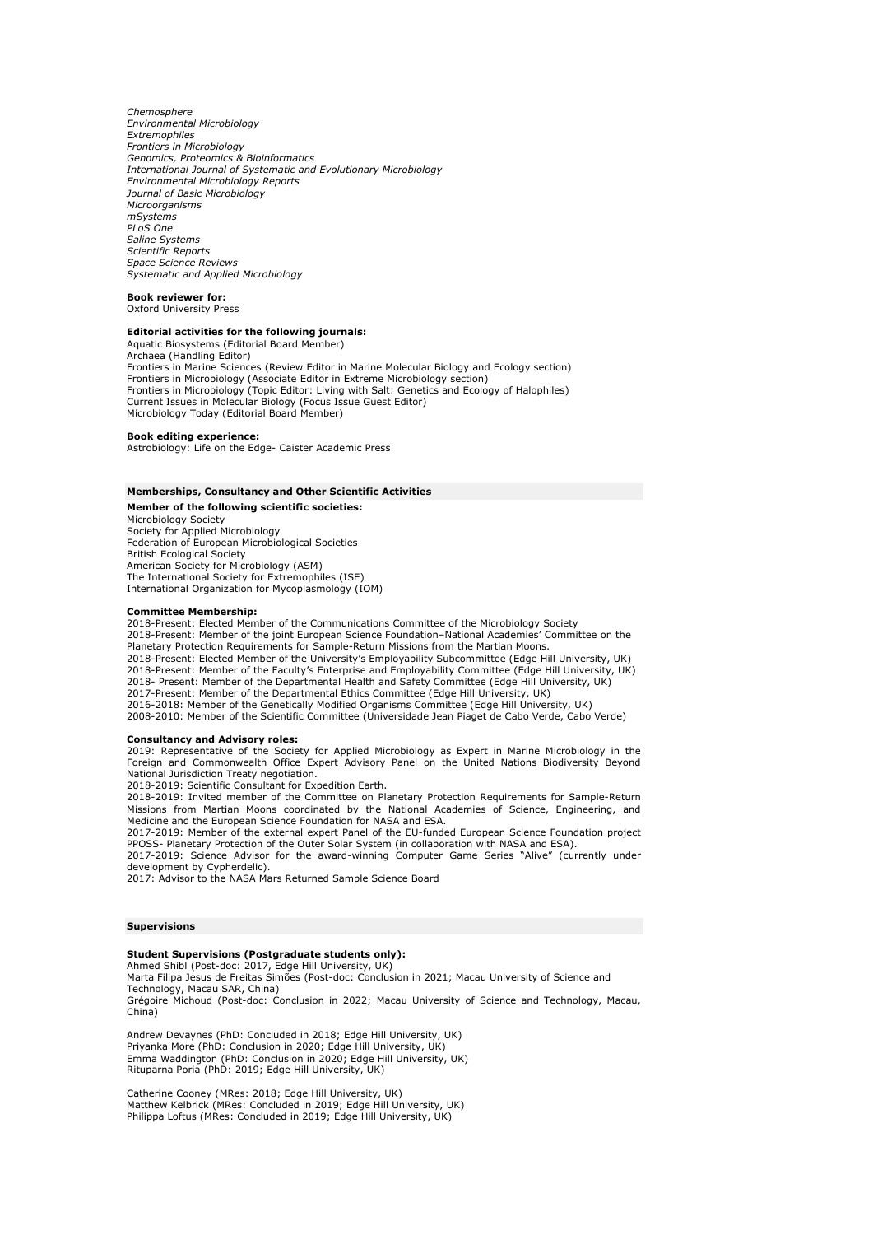*Chemosphere Environmental Microbiology Extremophiles Frontiers in Microbiology Genomics, Proteomics & Bioinformatics International Journal of Systematic and Evolutionary Microbiology Environmental Microbiology Reports Journal of Basic Microbiology Microorganisms mSystems PLoS One Saline Systems Scientific Reports Space Science Reviews Systematic and Applied Microbiology* 

## **Book reviewer for:**

Oxford University Press

## **Editorial activities for the following journals:**

Aquatic Biosystems (Editorial Board Member) Archaea (Handling Editor) Frontiers in Marine Sciences (Review Editor in Marine Molecular Biology and Ecology section) Frontiers in Microbiology (Associate Editor in Extreme Microbiology section) Frontiers in Microbiology (Topic Editor: Living with Salt: Genetics and Ecology of Halophiles) Current Issues in Molecular Biology (Focus Issue Guest Editor) Microbiology Today (Editorial Board Member)

#### **Book editing experience:**

Astrobiology: Life on the Edge- Caister Academic Press

## **Memberships, Consultancy and Other Scientific Activities**

**Member of the following scientific societies:** Microbiology Society Society for Applied Microbiology Federation of European Microbiological Societies British Ecological Society American Society for Microbiology (ASM) The International Society for Extremophiles (ISE) International Organization for Mycoplasmology (IOM)

## **Committee Membership:**

2018-Present: Elected Member of the Communications Committee of the Microbiology Society 2018-Present: Member of the joint European Science Foundation–National Academies' Committee on the Planetary Protection Requirements for Sample-Return Missions from the Martian Moons. 2018-Present: Elected Member of the University's Employability Subcommittee (Edge Hill University, UK) 2018-Present: Member of the Faculty's Enterprise and Employability Committee (Edge Hill University, UK) 2018- Present: Member of the Departmental Health and Safety Committee (Edge Hill University, UK) 2017-Present: Member of the Departmental Ethics Committee (Edge Hill University, UK) 2016-2018: Member of the Genetically Modified Organisms Committee (Edge Hill University, UK) 2008-2010: Member of the Scientific Committee (Universidade Jean Piaget de Cabo Verde, Cabo Verde)

#### **Consultancy and Advisory roles:**

2019: Representative of the Society for Applied Microbiology as Expert in Marine Microbiology in the Foreign and Commonwealth Office Expert Advisory Panel on the United Nations Biodiversity Beyond National Jurisdiction Treaty negotiation.

2018-2019: Scientific Consultant for Expedition Earth.

2018-2019: Invited member of the Committee on Planetary Protection Requirements for Sample-Return Missions from Martian Moons coordinated by the National Academies of Science, Engineering, and Medicine and the European Science Foundation for NASA and ESA. 2017-2019: Member of the external expert Panel of the EU-funded European Science Foundation project

PPOSS- Planetary Protection of the Outer Solar System (in collaboration with NASA and ESA).

2017-2019: Science Advisor for the award-winning Computer Game Series "Alive" (currently under development by Cypherdelic).

2017: Advisor to the NASA Mars Returned Sample Science Board

## **Supervisions**

## **Student Supervisions (Postgraduate students only):**

Ahmed Shibl (Post-doc: 2017, Edge Hill University, UK) Marta Filipa Jesus de Freitas Simões (Post-doc: Conclusion in 2021; Macau University of Science and Technology, Macau SAR, China) Grégoire Michoud (Post-doc: Conclusion in 2022; Macau University of Science and Technology, Macau,

China)

Andrew Devaynes (PhD: Concluded in 2018; Edge Hill University, UK) Priyanka More (PhD: Conclusion in 2020; Edge Hill University, UK) Emma Waddington (PhD: Conclusion in 2020; Edge Hill University, UK) Rituparna Poria (PhD: 2019; Edge Hill University, UK)

Catherine Cooney (MRes: 2018; Edge Hill University, UK) Matthew Kelbrick (MRes: Concluded in 2019; Edge Hill University, UK) Philippa Loftus (MRes: Concluded in 2019; Edge Hill University, UK)